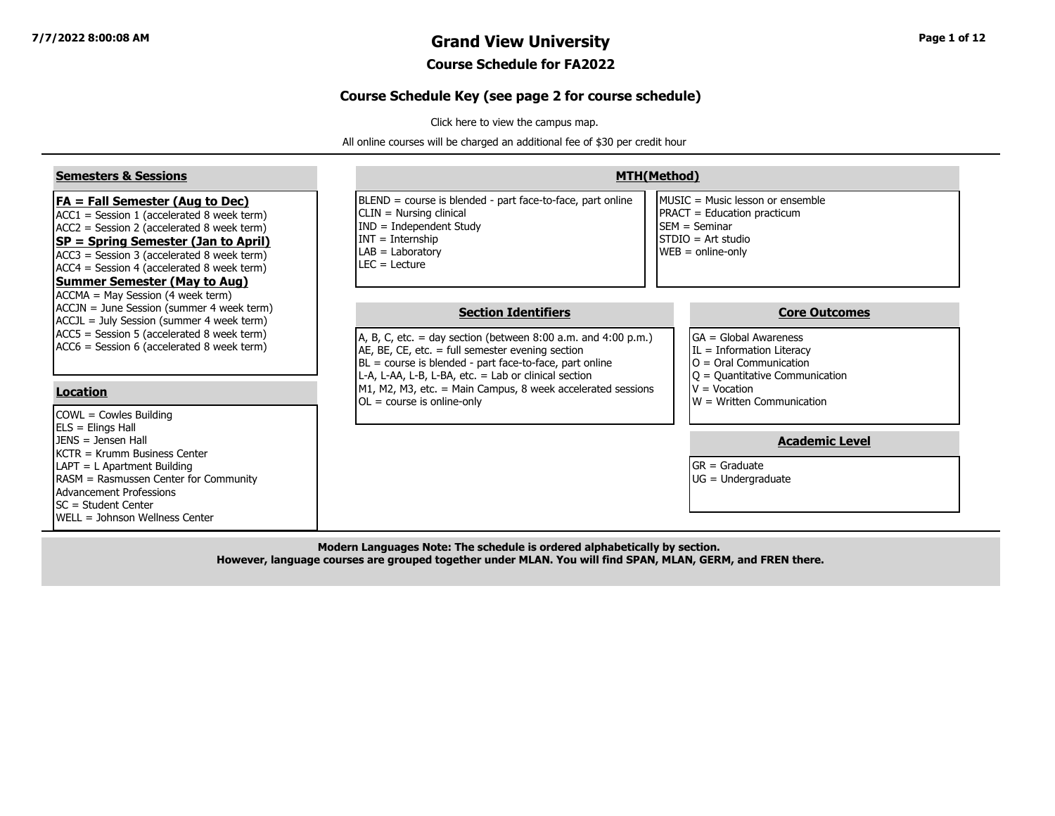#### **7/7/2022 8:00:08 AM Grand View University Page 1 of 12**

#### **Course Schedule for FA2022**

#### **Course Schedule Key (see page 2 for course schedule)**

[Click here to view the campus map.](https://www.grandview.edu/filesimages/PDF/AboutGV/CampusDirections/gv_campus_map.pdf)

All online courses will be charged an additional fee of \$30 per credit hour

| <b>Semesters &amp; Sessions</b>                                                                                                                                                                                                                                                                               |                                                                                                                                                                                                                                                                                                                                           | <b>MTH(Method)</b>                                                                                                                                             |
|---------------------------------------------------------------------------------------------------------------------------------------------------------------------------------------------------------------------------------------------------------------------------------------------------------------|-------------------------------------------------------------------------------------------------------------------------------------------------------------------------------------------------------------------------------------------------------------------------------------------------------------------------------------------|----------------------------------------------------------------------------------------------------------------------------------------------------------------|
| $FA = Fall Semester (Aug to Dec)$<br>$ACC1 = Session 1 (accelerated 8 week term)$<br>$ACC2 = Session 2 (accelerated 8 week term)$<br>SP = Spring Semester (Jan to April)<br>ACC3 = Session 3 (accelerated 8 week term)<br>$ACC4 = Session 4$ (accelerated 8 week term)<br><b>Summer Semester (May to Aug)</b> | BLEND = course is blended - part face-to-face, part online<br>$CLIN = Nursing clinical$<br>$IND = Independent Study$<br>$INT = Internship$<br>$LAB = Laboratory$<br>$LEC = Leture$                                                                                                                                                        | MUSIC = Music lesson or ensemble<br><b>PRACT</b> = Education practicum<br><b>ISEM</b> = Seminar<br>$ISTDIO = Art studio$<br>$WEB = online-only$                |
| ACCMA = May Session (4 week term)<br>ACCJN = June Session (summer 4 week term)<br>ACCJL = July Session (summer 4 week term)<br>$ACC5$ = Session 5 (accelerated 8 week term)<br>ACC6 = Session 6 (accelerated 8 week term)<br><b>Location</b>                                                                  | <b>Section Identifiers</b><br>A, B, C, etc. = day section (between $8:00$ a.m. and $4:00$ p.m.)<br>AE, BE, CE, etc. $=$ full semester evening section<br>$BL = course$ is blended - part face-to-face, part online<br>L-A, L-AA, L-B, L-BA, etc. = Lab or clinical section<br>M1, M2, M3, etc. = Main Campus, 8 week accelerated sessions | <b>Core Outcomes</b><br>$GA = Global Awards$<br>$IL = Information Literary$<br>$O =$ Oral Communication<br>$ Q =$ Quantitative Communication<br>$V = Vocation$ |
| $COWL = Cowles Building$<br>ELS = Elings Hall<br>$JENS = Jensen Hall$<br>KCTR = Krumm Business Center<br>LAPT = L Apartment Building<br>RASM = Rasmussen Center for Community<br>Advancement Professions                                                                                                      | $OL = course$ is online-only                                                                                                                                                                                                                                                                                                              | $\mathsf{I}\mathsf{W}$ = Written Communication<br><b>Academic Level</b><br>$GR = Graduate$<br>$UG = Undergraduate$                                             |
| SC = Student Center<br>WELL = Johnson Wellness Center                                                                                                                                                                                                                                                         |                                                                                                                                                                                                                                                                                                                                           |                                                                                                                                                                |

**Modern Languages Note: The schedule is ordered alphabetically by section. However, language courses are grouped together under MLAN. You will find SPAN, MLAN, GERM, and FREN there.**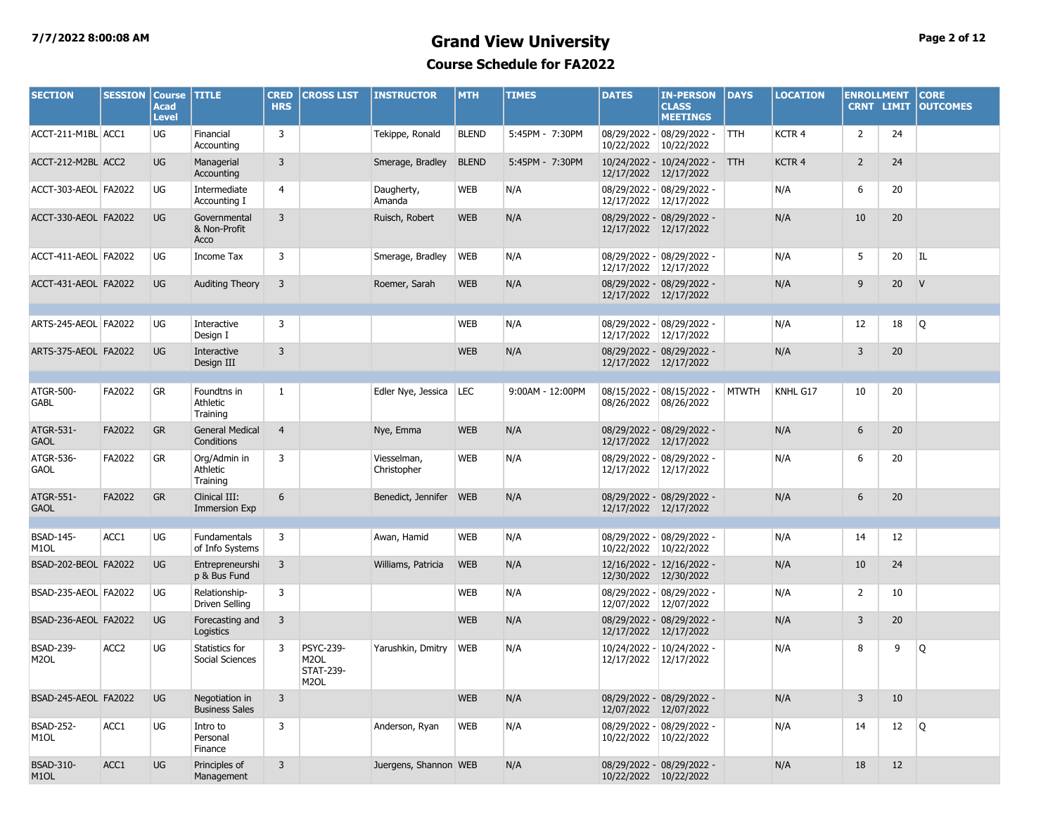#### **7/7/2022 8:00:08 AM Grand View University Page 2 of 12 Course Schedule for FA2022**

| <b>SECTION</b>                        | <b>SESSION</b>   | <b>Course</b><br><b>Acad</b><br><b>Level</b> | <b>TITLE</b>                            | <b>CRED</b><br><b>HRS</b> | <b>CROSS LIST</b>                                                 | <b>INSTRUCTOR</b>          | <b>MTH</b>   | <b>TIMES</b>     | <b>DATES</b> | <b>IN-PERSON</b><br><b>CLASS</b><br><b>MEETINGS</b> | DAYS         | <b>LOCATION</b> | <b>ENROLLMENT</b> | <b>CRNT LIMIT</b> | <b>CORE</b><br><b>OUTCOMES</b> |
|---------------------------------------|------------------|----------------------------------------------|-----------------------------------------|---------------------------|-------------------------------------------------------------------|----------------------------|--------------|------------------|--------------|-----------------------------------------------------|--------------|-----------------|-------------------|-------------------|--------------------------------|
| ACCT-211-M1BL ACC1                    |                  | UG                                           | Financial<br>Accounting                 | 3                         |                                                                   | Tekippe, Ronald            | <b>BLEND</b> | 5:45PM - 7:30PM  | 10/22/2022   | 08/29/2022 - 08/29/2022 -<br>10/22/2022             | TTH.         | KCTR 4          | 2                 | 24                |                                |
| ACCT-212-M2BL ACC2                    |                  | <b>UG</b>                                    | Managerial<br>Accounting                | 3                         |                                                                   | Smerage, Bradley           | <b>BLEND</b> | 5:45PM - 7:30PM  |              | 10/24/2022 - 10/24/2022 -<br>12/17/2022 12/17/2022  | <b>TTH</b>   | KCTR 4          | $\overline{2}$    | 24                |                                |
| ACCT-303-AEOL FA2022                  |                  | UG                                           | Intermediate<br>Accounting I            | 4                         |                                                                   | Daugherty,<br>Amanda       | <b>WEB</b>   | N/A              |              | 08/29/2022 - 08/29/2022 -<br>12/17/2022 12/17/2022  |              | N/A             | 6                 | 20                |                                |
| ACCT-330-AEOL FA2022                  |                  | <b>UG</b>                                    | Governmental<br>& Non-Profit<br>Acco    | 3                         |                                                                   | Ruisch, Robert             | <b>WEB</b>   | N/A              |              | 08/29/2022 - 08/29/2022 -<br>12/17/2022 12/17/2022  |              | N/A             | 10                | 20                |                                |
| ACCT-411-AEOL FA2022                  |                  | UG                                           | Income Tax                              | 3                         |                                                                   | Smerage, Bradley           | <b>WEB</b>   | N/A              | 12/17/2022   | 08/29/2022 - 08/29/2022 -<br>12/17/2022             |              | N/A             | 5                 | 20                | IL                             |
| ACCT-431-AEOL FA2022                  |                  | <b>UG</b>                                    | <b>Auditing Theory</b>                  | 3                         |                                                                   | Roemer, Sarah              | <b>WEB</b>   | N/A              |              | 08/29/2022 - 08/29/2022 -<br>12/17/2022 12/17/2022  |              | N/A             | 9                 | 20                | V                              |
| ARTS-245-AEOL FA2022                  |                  | UG                                           | Interactive<br>Design I                 | 3                         |                                                                   |                            | <b>WEB</b>   | N/A              |              | 08/29/2022 - 08/29/2022 -<br>12/17/2022 12/17/2022  |              | N/A             | 12                | 18                | Q                              |
| ARTS-375-AEOL FA2022                  |                  | <b>UG</b>                                    | Interactive<br>Design III               | 3                         |                                                                   |                            | <b>WEB</b>   | N/A              |              | 08/29/2022 - 08/29/2022 -<br>12/17/2022 12/17/2022  |              | N/A             | 3                 | 20                |                                |
| ATGR-500-<br><b>GABL</b>              | FA2022           | ${\sf GR}$                                   | Foundtns in<br>Athletic<br>Training     | 1                         |                                                                   | Edler Nye, Jessica         | LEC          | 9:00AM - 12:00PM | 08/26/2022   | 08/15/2022 - 08/15/2022 -<br>08/26/2022             | <b>MTWTH</b> | KNHL G17        | 10                | 20                |                                |
| ATGR-531-<br><b>GAOL</b>              | FA2022           | <b>GR</b>                                    | <b>General Medical</b><br>Conditions    | $\overline{4}$            |                                                                   | Nye, Emma                  | <b>WEB</b>   | N/A              | 12/17/2022   | 08/29/2022 - 08/29/2022 -<br>12/17/2022             |              | N/A             | 6                 | 20                |                                |
| ATGR-536-<br><b>GAOL</b>              | FA2022           | GR                                           | Ora/Admin in<br>Athletic<br>Training    | 3                         |                                                                   | Viesselman,<br>Christopher | <b>WEB</b>   | N/A              | 12/17/2022   | 08/29/2022 - 08/29/2022 -<br>12/17/2022             |              | N/A             | 6                 | 20                |                                |
| ATGR-551-<br><b>GAOL</b>              | FA2022           | <b>GR</b>                                    | Clinical III:<br>Immersion Exp          | 6                         |                                                                   | Benedict, Jennifer WEB     |              | N/A              |              | 08/29/2022 - 08/29/2022 -<br>12/17/2022 12/17/2022  |              | N/A             | 6                 | 20                |                                |
| <b>BSAD-145-</b><br>M <sub>1</sub> OL | ACC1             | <b>UG</b>                                    | Fundamentals<br>of Info Systems         | 3                         |                                                                   | Awan, Hamid                | <b>WEB</b>   | N/A              | 10/22/2022   | 08/29/2022 - 08/29/2022 -<br>10/22/2022             |              | N/A             | 14                | 12                |                                |
| BSAD-202-BEOL FA2022                  |                  | <b>UG</b>                                    | Entrepreneurshi<br>p & Bus Fund         | 3                         |                                                                   | Williams, Patricia         | <b>WEB</b>   | N/A              |              | 12/16/2022 - 12/16/2022 -<br>12/30/2022 12/30/2022  |              | N/A             | 10                | 24                |                                |
| BSAD-235-AEOL FA2022                  |                  | UG                                           | Relationship-<br>Driven Selling         | 3                         |                                                                   |                            | <b>WEB</b>   | N/A              | 12/07/2022   | 08/29/2022 - 08/29/2022 -<br>12/07/2022             |              | N/A             | $\overline{2}$    | 10                |                                |
| BSAD-236-AEOL FA2022                  |                  | <b>UG</b>                                    | Forecasting and<br>Logistics            | 3                         |                                                                   |                            | <b>WEB</b>   | N/A              |              | 08/29/2022 - 08/29/2022 -<br>12/17/2022 12/17/2022  |              | N/A             | 3                 | 20                |                                |
| <b>BSAD-239-</b><br>M <sub>2</sub> OL | ACC <sub>2</sub> | UG                                           | Statistics for<br>Social Sciences       | 3                         | <b>PSYC-239-</b><br>M <sub>2</sub> OL<br><b>STAT-239-</b><br>M2OL | Yarushkin, Dmitry          | <b>WEB</b>   | N/A              | 12/17/2022   | 10/24/2022 - 10/24/2022 -<br>12/17/2022             |              | N/A             | 8                 | 9                 | Q                              |
| BSAD-245-AEOL FA2022                  |                  | <b>UG</b>                                    | Negotiation in<br><b>Business Sales</b> | 3                         |                                                                   |                            | <b>WEB</b>   | N/A              |              | 08/29/2022 - 08/29/2022 -<br>12/07/2022 12/07/2022  |              | N/A             | 3                 | 10                |                                |
| <b>BSAD-252-</b><br>M <sub>1</sub> OL | ACC1             | <b>UG</b>                                    | Intro to<br>Personal<br>Finance         | 3                         |                                                                   | Anderson, Ryan             | <b>WEB</b>   | N/A              |              | 08/29/2022 - 08/29/2022 -<br>10/22/2022 10/22/2022  |              | N/A             | 14                | 12                | Q                              |
| <b>BSAD-310-</b><br>M <sub>1</sub> OL | ACC1             | <b>UG</b>                                    | Principles of<br>Management             | 3                         |                                                                   | Juergens, Shannon WEB      |              | N/A              |              | 08/29/2022 - 08/29/2022 -<br>10/22/2022 10/22/2022  |              | N/A             | 18                | 12                |                                |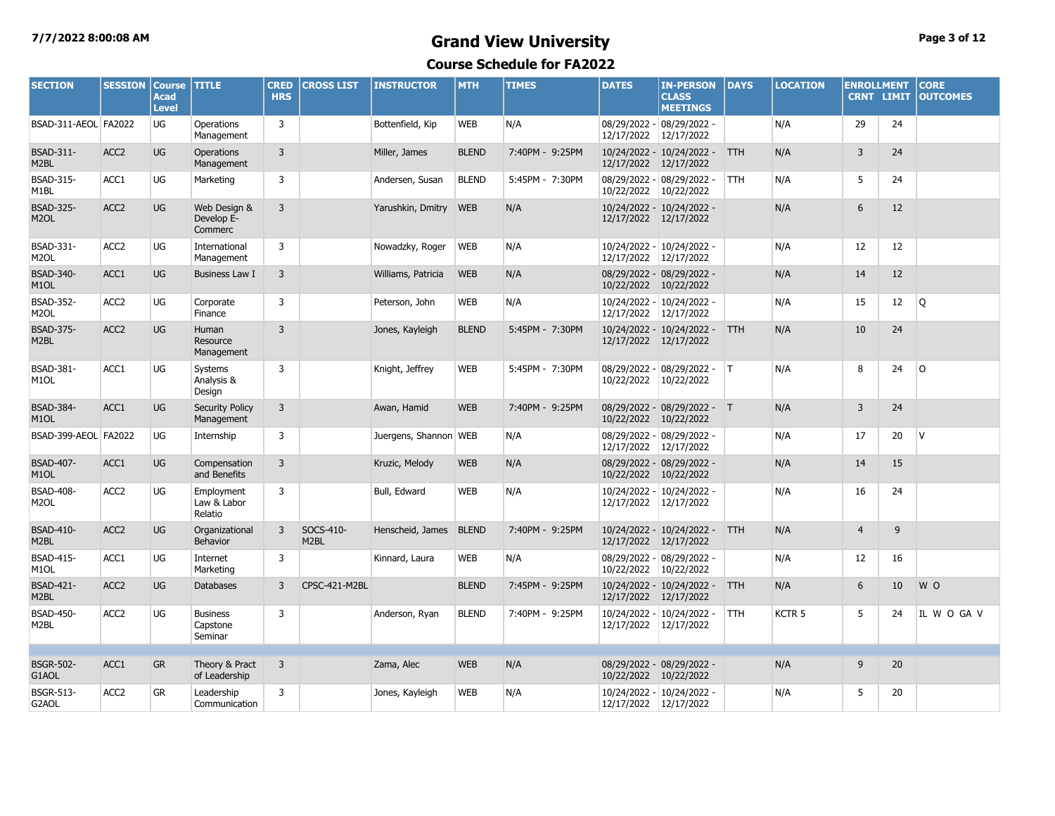## **7/7/2022 8:00:08 AM Grand View University Page 3 of 12**

| <b>SECTION</b>                        | <b>SESSION</b>   | <b>Course</b><br><b>Acad</b><br><b>Level</b> | <b>TITLE</b>                           | <b>CRED</b><br><b>HRS</b> | <b>CROSS LIST</b>              | <b>INSTRUCTOR</b>      | <b>MTH</b>   | <b>TIMES</b>    | <b>DATES</b>          | <b>IN-PERSON</b><br><b>CLASS</b><br><b>MEETINGS</b> | <b>DAYS</b> | <b>LOCATION</b>   | <b>ENROLLMENT</b><br><b>CRNT LIMIT</b> |    | <b>CORE</b><br><b>OUTCOMES</b> |
|---------------------------------------|------------------|----------------------------------------------|----------------------------------------|---------------------------|--------------------------------|------------------------|--------------|-----------------|-----------------------|-----------------------------------------------------|-------------|-------------------|----------------------------------------|----|--------------------------------|
| BSAD-311-AEOL FA2022                  |                  | UG                                           | Operations<br>Management               | 3                         |                                | Bottenfield, Kip       | <b>WEB</b>   | N/A             | 12/17/2022            | 08/29/2022 - 08/29/2022 -<br>12/17/2022             |             | N/A               | 29                                     | 24 |                                |
| <b>BSAD-311-</b><br>M <sub>2</sub> BL | ACC <sub>2</sub> | <b>UG</b>                                    | Operations<br>Management               | 3                         |                                | Miller, James          | <b>BLEND</b> | 7:40PM - 9:25PM | 12/17/2022 12/17/2022 | 10/24/2022 - 10/24/2022 -                           | <b>TTH</b>  | N/A               | 3                                      | 24 |                                |
| <b>BSAD-315-</b><br>M <sub>1</sub> BL | ACC1             | UG                                           | Marketing                              | 3                         |                                | Andersen, Susan        | <b>BLEND</b> | 5:45PM - 7:30PM | 10/22/2022 10/22/2022 | 08/29/2022 - 08/29/2022 -                           | <b>TTH</b>  | N/A               | 5                                      | 24 |                                |
| <b>BSAD-325-</b><br>M <sub>2</sub> OL | ACC <sub>2</sub> | <b>UG</b>                                    | Web Design &<br>Develop E-<br>Commerc  | $\overline{3}$            |                                | Yarushkin, Dmitry      | <b>WEB</b>   | N/A             | 12/17/2022 12/17/2022 | 10/24/2022 - 10/24/2022 -                           |             | N/A               | 6                                      | 12 |                                |
| <b>BSAD-331-</b><br>M <sub>2</sub> OL | ACC <sub>2</sub> | UG                                           | International<br>Management            | 3                         |                                | Nowadzky, Roger        | <b>WEB</b>   | N/A             | 12/17/2022 12/17/2022 | 10/24/2022 - 10/24/2022 -                           |             | N/A               | 12                                     | 12 |                                |
| <b>BSAD-340-</b><br>M <sub>1</sub> OL | ACC1             | <b>UG</b>                                    | <b>Business Law I</b>                  | 3                         |                                | Williams, Patricia     | <b>WEB</b>   | N/A             | 10/22/2022 10/22/2022 | 08/29/2022 - 08/29/2022 -                           |             | N/A               | 14                                     | 12 |                                |
| <b>BSAD-352-</b><br>M <sub>2</sub> OL | ACC <sub>2</sub> | UG                                           | Corporate<br>Finance                   | 3                         |                                | Peterson, John         | <b>WEB</b>   | N/A             | 12/17/2022            | 10/24/2022 - 10/24/2022 -<br>12/17/2022             |             | N/A               | 15                                     | 12 | Q                              |
| <b>BSAD-375-</b><br>M2BL              | ACC <sub>2</sub> | <b>UG</b>                                    | Human<br>Resource<br>Management        | $\overline{3}$            |                                | Jones, Kayleigh        | <b>BLEND</b> | 5:45PM - 7:30PM | 12/17/2022 12/17/2022 | 10/24/2022 - 10/24/2022 -                           | TTH         | N/A               | 10                                     | 24 |                                |
| BSAD-381-<br>M <sub>1</sub> OL        | ACC1             | UG                                           | Systems<br>Analysis &<br>Design        | 3                         |                                | Knight, Jeffrey        | WEB          | 5:45PM - 7:30PM | 10/22/2022            | 08/29/2022 - 08/29/2022 - T<br>10/22/2022           |             | N/A               | 8                                      | 24 | O                              |
| <b>BSAD-384-</b><br>M <sub>1</sub> OL | ACC1             | <b>UG</b>                                    | <b>Security Policy</b><br>Management   | 3                         |                                | Awan, Hamid            | <b>WEB</b>   | 7:40PM - 9:25PM | 10/22/2022 10/22/2022 | 08/29/2022 - 08/29/2022 - T                         |             | N/A               | $\overline{3}$                         | 24 |                                |
| BSAD-399-AEOL FA2022                  |                  | UG                                           | Internship                             | 3                         |                                | Juergens, Shannon WEB  |              | N/A             | 12/17/2022 12/17/2022 | 08/29/2022 - 08/29/2022 -                           |             | N/A               | 17                                     | 20 | <b>V</b>                       |
| <b>BSAD-407-</b><br>M <sub>1</sub> OL | ACC1             | <b>UG</b>                                    | Compensation<br>and Benefits           | 3                         |                                | Kruzic, Melody         | <b>WEB</b>   | N/A             | 10/22/2022 10/22/2022 | 08/29/2022 - 08/29/2022 -                           |             | N/A               | 14                                     | 15 |                                |
| <b>BSAD-408-</b><br>M <sub>2</sub> OL | ACC <sub>2</sub> | UG                                           | Employment<br>Law & Labor<br>Relatio   | 3                         |                                | Bull, Edward           | <b>WEB</b>   | N/A             | 12/17/2022            | 10/24/2022 - 10/24/2022 -<br>12/17/2022             |             | N/A               | 16                                     | 24 |                                |
| <b>BSAD-410-</b><br>M <sub>2</sub> BL | ACC <sub>2</sub> | <b>UG</b>                                    | Organizational<br>Behavior             | 3                         | SOCS-410-<br>M <sub>2</sub> BL | Henscheid, James BLEND |              | 7:40PM - 9:25PM | 12/17/2022 12/17/2022 | 10/24/2022 - 10/24/2022 - TTH                       |             | N/A               | $\overline{4}$                         | 9  |                                |
| <b>BSAD-415-</b><br>M <sub>1</sub> OL | ACC1             | UG                                           | Internet<br>Marketing                  | 3                         |                                | Kinnard, Laura         | <b>WEB</b>   | N/A             | 10/22/2022            | 08/29/2022 - 08/29/2022 -<br>10/22/2022             |             | N/A               | 12                                     | 16 |                                |
| <b>BSAD-421-</b><br>M2BL              | ACC <sub>2</sub> | <b>UG</b>                                    | <b>Databases</b>                       | 3                         | CPSC-421-M2BL                  |                        | <b>BLEND</b> | 7:45PM - 9:25PM | 12/17/2022 12/17/2022 | 10/24/2022 - 10/24/2022 -                           | <b>TTH</b>  | N/A               | 6                                      | 10 | W O                            |
| BSAD-450-<br>M2BL                     | ACC <sub>2</sub> | UG                                           | <b>Business</b><br>Capstone<br>Seminar | 3                         |                                | Anderson, Ryan         | <b>BLEND</b> | 7:40PM - 9:25PM | 12/17/2022            | 10/24/2022 - 10/24/2022 -<br>12/17/2022             | <b>TTH</b>  | KCTR <sub>5</sub> | 5                                      | 24 | IL W O GA V                    |
| <b>BSGR-502-</b><br>G1AOL             | ACC1             | <b>GR</b>                                    | Theory & Pract<br>of Leadership        | 3                         |                                | Zama, Alec             | <b>WEB</b>   | N/A             | 10/22/2022 10/22/2022 | 08/29/2022 - 08/29/2022 -                           |             | N/A               | 9                                      | 20 |                                |
| <b>BSGR-513-</b><br>G2AOL             | ACC <sub>2</sub> | GR                                           | Leadership<br>Communication            | 3                         |                                | Jones, Kayleigh        | <b>WEB</b>   | N/A             | 12/17/2022 12/17/2022 | 10/24/2022 - 10/24/2022 -                           |             | N/A               | 5                                      | 20 |                                |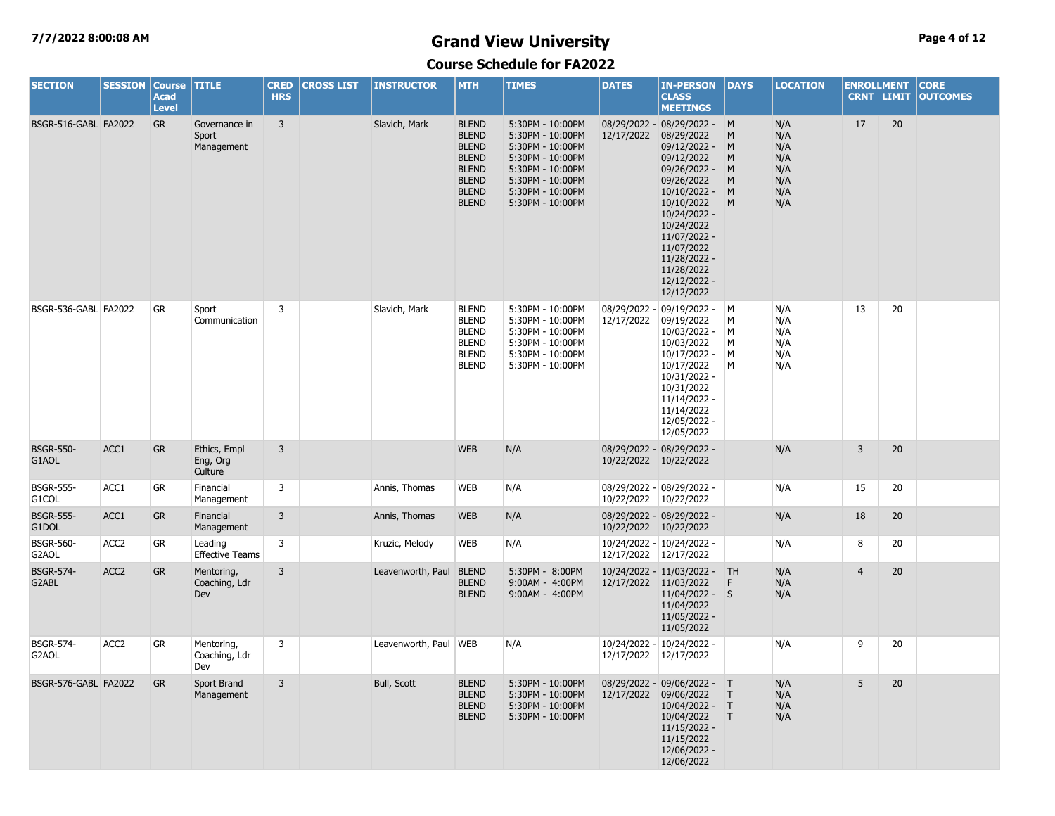## **7/7/2022 8:00:08 AM Grand View University Page 4 of 12**

| <b>SECTION</b>            | <b>SESSION</b>   | <b>Course</b><br><b>Acad</b><br><b>Level</b> | <b>TITLE</b>                         | <b>CRED</b><br><b>HRS</b> | <b>CROSS LIST</b> | <b>INSTRUCTOR</b>       | <b>MTH</b>                                                                                                                   | <b>TIMES</b>                                                                                                                                                 | <b>DATES</b>               | <b>IN-PERSON</b><br><b>CLASS</b><br><b>MEETINGS</b>                                                                                                                                                                                                             | <b>DAYS</b>                  | <b>LOCATION</b>                                      | <b>ENROLLMENT</b> | <b>CRNT LIMIT</b> | <b>CORE</b><br><b>OUTCOMES</b> |
|---------------------------|------------------|----------------------------------------------|--------------------------------------|---------------------------|-------------------|-------------------------|------------------------------------------------------------------------------------------------------------------------------|--------------------------------------------------------------------------------------------------------------------------------------------------------------|----------------------------|-----------------------------------------------------------------------------------------------------------------------------------------------------------------------------------------------------------------------------------------------------------------|------------------------------|------------------------------------------------------|-------------------|-------------------|--------------------------------|
| BSGR-516-GABL FA2022      |                  | <b>GR</b>                                    | Governance in<br>Sport<br>Management | $\overline{3}$            |                   | Slavich, Mark           | <b>BLEND</b><br><b>BLEND</b><br><b>BLEND</b><br><b>BLEND</b><br><b>BLEND</b><br><b>BLEND</b><br><b>BLEND</b><br><b>BLEND</b> | 5:30PM - 10:00PM<br>5:30PM - 10:00PM<br>5:30PM - 10:00PM<br>5:30PM - 10:00PM<br>5:30PM - 10:00PM<br>5:30PM - 10:00PM<br>5:30PM - 10:00PM<br>5:30PM - 10:00PM | 12/17/2022                 | 08/29/2022 - 08/29/2022 - M<br>08/29/2022<br>09/12/2022 - M<br>09/12/2022<br>09/26/2022 -<br>09/26/2022<br>$10/10/2022 -$<br>10/10/2022<br>10/24/2022 -<br>10/24/2022<br>11/07/2022 -<br>11/07/2022<br>11/28/2022 -<br>11/28/2022<br>12/12/2022 -<br>12/12/2022 | M<br>M<br>M<br>M<br>M<br>M   | N/A<br>N/A<br>N/A<br>N/A<br>N/A<br>N/A<br>N/A<br>N/A | 17                | 20                |                                |
| BSGR-536-GABL FA2022      |                  | <b>GR</b>                                    | Sport<br>Communication               | $\overline{3}$            |                   | Slavich, Mark           | <b>BLEND</b><br><b>BLEND</b><br><b>BLEND</b><br><b>BLEND</b><br><b>BLEND</b><br><b>BLEND</b>                                 | 5:30PM - 10:00PM<br>5:30PM - 10:00PM<br>5:30PM - 10:00PM<br>5:30PM - 10:00PM<br>5:30PM - 10:00PM<br>5:30PM - 10:00PM                                         | 08/29/2022 -<br>12/17/2022 | 09/19/2022 -<br>09/19/2022<br>10/03/2022 -<br>10/03/2022<br>10/17/2022 -<br>10/17/2022<br>10/31/2022 -<br>10/31/2022<br>11/14/2022 -<br>11/14/2022<br>12/05/2022 -<br>12/05/2022                                                                                | M<br>M<br>M<br>M<br>M<br>M   | N/A<br>N/A<br>N/A<br>N/A<br>N/A<br>N/A               | 13                | 20                |                                |
| <b>BSGR-550-</b><br>G1AOL | ACC1             | <b>GR</b>                                    | Ethics, Empl<br>Eng, Org<br>Culture  | $\overline{3}$            |                   |                         | <b>WEB</b>                                                                                                                   | N/A                                                                                                                                                          | 10/22/2022                 | 08/29/2022 - 08/29/2022 -<br>10/22/2022                                                                                                                                                                                                                         |                              | N/A                                                  | 3                 | 20                |                                |
| <b>BSGR-555-</b><br>G1COL | ACC1             | <b>GR</b>                                    | Financial<br>Management              | $\overline{3}$            |                   | Annis, Thomas           | <b>WEB</b>                                                                                                                   | N/A                                                                                                                                                          | 10/22/2022 10/22/2022      | 08/29/2022 - 08/29/2022 -                                                                                                                                                                                                                                       |                              | N/A                                                  | 15                | 20                |                                |
| <b>BSGR-555-</b><br>G1DOL | ACC1             | GR                                           | Financial<br>Management              | 3                         |                   | Annis, Thomas           | <b>WEB</b>                                                                                                                   | N/A                                                                                                                                                          | 10/22/2022 10/22/2022      | 08/29/2022 - 08/29/2022 -                                                                                                                                                                                                                                       |                              | N/A                                                  | 18                | 20                |                                |
| <b>BSGR-560-</b><br>G2AOL | ACC <sub>2</sub> | GR                                           | Leading<br><b>Effective Teams</b>    | 3                         |                   | Kruzic, Melody          | <b>WEB</b>                                                                                                                   | N/A                                                                                                                                                          | 12/17/2022 12/17/2022      | 10/24/2022 - 10/24/2022 -                                                                                                                                                                                                                                       |                              | N/A                                                  | 8                 | 20                |                                |
| <b>BSGR-574-</b><br>G2ABL | ACC <sub>2</sub> | <b>GR</b>                                    | Mentoring,<br>Coaching, Ldr<br>Dev   | 3                         |                   | Leavenworth, Paul BLEND | <b>BLEND</b><br><b>BLEND</b>                                                                                                 | 5:30PM - 8:00PM<br>9:00AM - 4:00PM<br>9:00AM - 4:00PM                                                                                                        | 12/17/2022 11/03/2022      | 10/24/2022 - 11/03/2022 - TH<br>$11/04/2022 - S$<br>11/04/2022<br>11/05/2022 -<br>11/05/2022                                                                                                                                                                    | F                            | N/A<br>N/A<br>N/A                                    | $\overline{4}$    | 20                |                                |
| <b>BSGR-574-</b><br>G2AOL | ACC <sub>2</sub> | GR                                           | Mentoring,<br>Coaching, Ldr<br>Dev   | 3                         |                   | Leavenworth, Paul   WEB |                                                                                                                              | N/A                                                                                                                                                          | 12/17/2022                 | 10/24/2022 - 10/24/2022 -<br>12/17/2022                                                                                                                                                                                                                         |                              | N/A                                                  | 9                 | 20                |                                |
| BSGR-576-GABL FA2022      |                  | <b>GR</b>                                    | Sport Brand<br>Management            | $\overline{3}$            |                   | Bull, Scott             | <b>BLEND</b><br><b>BLEND</b><br><b>BLEND</b><br><b>BLEND</b>                                                                 | 5:30PM - 10:00PM<br>5:30PM - 10:00PM<br>5:30PM - 10:00PM<br>5:30PM - 10:00PM                                                                                 | 12/17/2022                 | 08/29/2022 - 09/06/2022 - T<br>09/06/2022<br>$10/04/2022 - T$<br>10/04/2022<br>$11/15/2022 -$<br>11/15/2022<br>12/06/2022 -<br>12/06/2022                                                                                                                       | $\mathsf{T}$<br>$\mathsf{T}$ | N/A<br>N/A<br>N/A<br>N/A                             | 5                 | 20                |                                |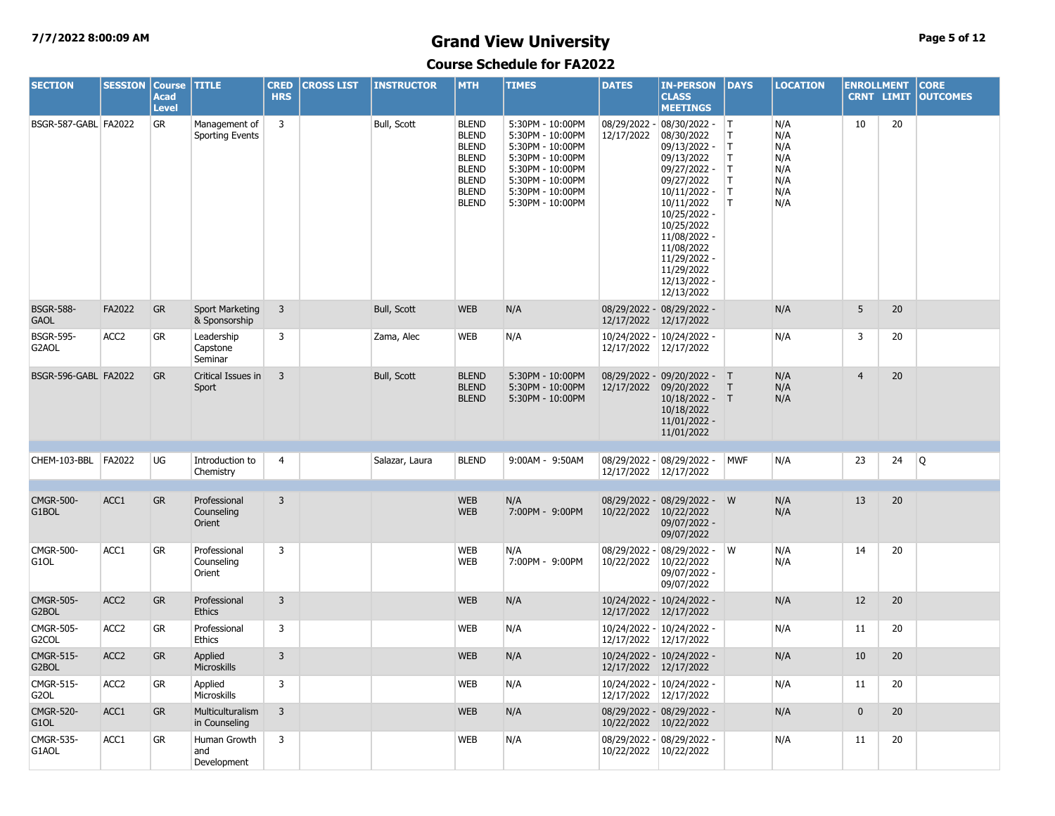## **7/7/2022 8:00:09 AM Grand View University Page 5 of 12**

| <b>SECTION</b>                         | <b>SESSION</b>   | <b>Course</b><br><b>Acad</b><br><b>Level</b> | <b>TITLE</b>                            | <b>CRED</b><br><b>HRS</b> | <b>CROSS LIST</b> | <b>INSTRUCTOR</b> | <b>MTH</b>                                                                                                                   | <b>TIMES</b>                                                                                                                                                 | <b>DATES</b>               | <b>IN-PERSON</b><br><b>CLASS</b><br><b>MEETINGS</b>                                                                                                                                                                                              | <b>DAYS</b>                            | <b>LOCATION</b>                                      | <b>ENROLLMENT</b> | <b>CRNT LIMIT</b> | <b>CORE</b><br><b>OUTCOMES</b> |
|----------------------------------------|------------------|----------------------------------------------|-----------------------------------------|---------------------------|-------------------|-------------------|------------------------------------------------------------------------------------------------------------------------------|--------------------------------------------------------------------------------------------------------------------------------------------------------------|----------------------------|--------------------------------------------------------------------------------------------------------------------------------------------------------------------------------------------------------------------------------------------------|----------------------------------------|------------------------------------------------------|-------------------|-------------------|--------------------------------|
| BSGR-587-GABL FA2022                   |                  | GR                                           | Management of<br><b>Sporting Events</b> | 3                         |                   | Bull, Scott       | <b>BLEND</b><br><b>BLEND</b><br><b>BLEND</b><br><b>BLEND</b><br><b>BLEND</b><br><b>BLEND</b><br><b>BLEND</b><br><b>BLEND</b> | 5:30PM - 10:00PM<br>5:30PM - 10:00PM<br>5:30PM - 10:00PM<br>5:30PM - 10:00PM<br>5:30PM - 10:00PM<br>5:30PM - 10:00PM<br>5:30PM - 10:00PM<br>5:30PM - 10:00PM | 08/29/2022 -<br>12/17/2022 | 08/30/2022 - T<br>08/30/2022<br>09/13/2022 -<br>09/13/2022<br>09/27/2022 -<br>09/27/2022<br>$10/11/2022 -$<br>10/11/2022<br>10/25/2022 -<br>10/25/2022<br>11/08/2022 -<br>11/08/2022<br>11/29/2022 -<br>11/29/2022<br>12/13/2022 -<br>12/13/2022 | IT.<br> T <br>T<br>T<br>T.<br>IT.<br>T | N/A<br>N/A<br>N/A<br>N/A<br>N/A<br>N/A<br>N/A<br>N/A | 10                | 20                |                                |
| <b>BSGR-588-</b><br><b>GAOL</b>        | FA2022           | <b>GR</b>                                    | <b>Sport Marketing</b><br>& Sponsorship | $\overline{3}$            |                   | Bull, Scott       | <b>WEB</b>                                                                                                                   | N/A                                                                                                                                                          | 12/17/2022                 | 08/29/2022 - 08/29/2022 -<br>12/17/2022                                                                                                                                                                                                          |                                        | N/A                                                  | 5                 | 20                |                                |
| <b>BSGR-595-</b><br>G2AOL              | ACC <sub>2</sub> | GR                                           | Leadership<br>Capstone<br>Seminar       | 3                         |                   | Zama, Alec        | WEB                                                                                                                          | N/A                                                                                                                                                          | 12/17/2022 12/17/2022      | 10/24/2022 - 10/24/2022 -                                                                                                                                                                                                                        |                                        | N/A                                                  | 3                 | 20                |                                |
| BSGR-596-GABL FA2022                   |                  | <b>GR</b>                                    | Critical Issues in<br>Sport             | $\overline{3}$            |                   | Bull, Scott       | <b>BLEND</b><br><b>BLEND</b><br><b>BLEND</b>                                                                                 | 5:30PM - 10:00PM<br>5:30PM - 10:00PM<br>5:30PM - 10:00PM                                                                                                     | 12/17/2022                 | 08/29/2022 - 09/20/2022 - T<br>09/20/2022<br>10/18/2022 - T<br>10/18/2022<br>$11/01/2022 -$<br>11/01/2022                                                                                                                                        | $\top$                                 | N/A<br>N/A<br>N/A                                    | $\overline{4}$    | 20                |                                |
| CHEM-103-BBL FA2022                    |                  | UG                                           | Introduction to<br>Chemistry            | 4                         |                   | Salazar, Laura    | <b>BLEND</b>                                                                                                                 | 9:00AM - 9:50AM                                                                                                                                              | 12/17/2022 12/17/2022      | 08/29/2022 - 08/29/2022 -                                                                                                                                                                                                                        | <b>MWF</b>                             | N/A                                                  | 23                | 24                | Q                              |
| <b>CMGR-500-</b><br>G1BOL              | ACC1             | <b>GR</b>                                    | Professional<br>Counseling<br>Orient    | 3                         |                   |                   | <b>WEB</b><br><b>WEB</b>                                                                                                     | N/A<br>7:00PM - 9:00PM                                                                                                                                       | 10/22/2022                 | 08/29/2022 - 08/29/2022 - W<br>10/22/2022<br>09/07/2022 -<br>09/07/2022                                                                                                                                                                          |                                        | N/A<br>N/A                                           | 13                | 20                |                                |
| <b>CMGR-500-</b><br>G1OL               | ACC1             | <b>GR</b>                                    | Professional<br>Counseling<br>Orient    | 3                         |                   |                   | <b>WEB</b><br><b>WEB</b>                                                                                                     | N/A<br>7:00PM - 9:00PM                                                                                                                                       | 08/29/2022 -<br>10/22/2022 | 08/29/2022 - W<br>10/22/2022<br>09/07/2022 -<br>09/07/2022                                                                                                                                                                                       |                                        | N/A<br>N/A                                           | 14                | 20                |                                |
| <b>CMGR-505-</b><br>G2BOL              | ACC <sub>2</sub> | <b>GR</b>                                    | Professional<br><b>Ethics</b>           | $\overline{3}$            |                   |                   | <b>WEB</b>                                                                                                                   | N/A                                                                                                                                                          | 12/17/2022 12/17/2022      | 10/24/2022 - 10/24/2022 -                                                                                                                                                                                                                        |                                        | N/A                                                  | 12                | 20                |                                |
| <b>CMGR-505-</b><br>G <sub>2</sub> COL | ACC <sub>2</sub> | <b>GR</b>                                    | Professional<br><b>Ethics</b>           | 3                         |                   |                   | <b>WEB</b>                                                                                                                   | N/A                                                                                                                                                          | 12/17/2022 12/17/2022      | 10/24/2022 - 10/24/2022 -                                                                                                                                                                                                                        |                                        | N/A                                                  | 11                | 20                |                                |
| <b>CMGR-515-</b><br>G2BOL              | ACC <sub>2</sub> | <b>GR</b>                                    | Applied<br>Microskills                  | 3                         |                   |                   | <b>WEB</b>                                                                                                                   | N/A                                                                                                                                                          | 12/17/2022 12/17/2022      | 10/24/2022 - 10/24/2022 -                                                                                                                                                                                                                        |                                        | N/A                                                  | 10                | 20                |                                |
| CMGR-515-<br>G <sub>2</sub> OL         | ACC <sub>2</sub> | <b>GR</b>                                    | Applied<br>Microskills                  | 3                         |                   |                   | <b>WEB</b>                                                                                                                   | N/A                                                                                                                                                          | 12/17/2022 12/17/2022      | 10/24/2022 - 10/24/2022 -                                                                                                                                                                                                                        |                                        | N/A                                                  | 11                | 20                |                                |
| <b>CMGR-520-</b><br>G1OL               | ACC1             | <b>GR</b>                                    | Multiculturalism<br>in Counseling       | $\overline{3}$            |                   |                   | <b>WEB</b>                                                                                                                   | N/A                                                                                                                                                          | 10/22/2022 10/22/2022      | 08/29/2022 - 08/29/2022 -                                                                                                                                                                                                                        |                                        | N/A                                                  | $\mathbf{0}$      | 20                |                                |
| <b>CMGR-535-</b><br>G1AOL              | ACC1             | <b>GR</b>                                    | Human Growth<br>and<br>Development      | 3                         |                   |                   | <b>WEB</b>                                                                                                                   | N/A                                                                                                                                                          | 10/22/2022 10/22/2022      | 08/29/2022 - 08/29/2022 -                                                                                                                                                                                                                        |                                        | N/A                                                  | 11                | 20                |                                |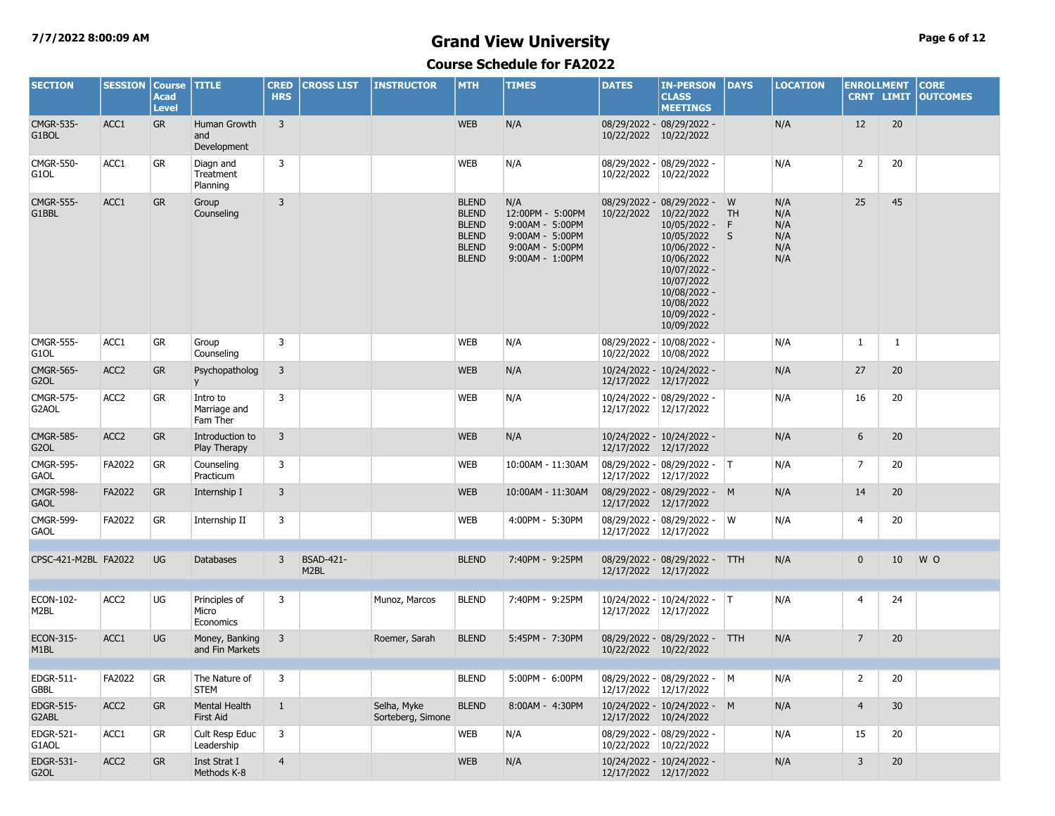## **7/7/2022 8:00:09 AM Grand View University Page 6 of 12**

| <b>SECTION</b>                        | <b>SESSION</b>   | <b>Course</b><br><b>Acad</b><br><b>Level</b> | <b>TITLE</b>                         | <b>CRED</b><br><b>HRS</b> | <b>CROSS LIST</b>                     | <b>INSTRUCTOR</b>                | <b>MTH</b>                                                                                   | <b>TIMES</b>                                                                                        | <b>DATES</b>          | <b>IN-PERSON</b><br><b>CLASS</b><br><b>MEETINGS</b>                                                                                                                                               | DAYS                | <b>LOCATION</b>                        | <b>ENROLLMENT</b> |                 | <b>CORE</b><br><b>CRNT LIMIT OUTCOMES</b> |
|---------------------------------------|------------------|----------------------------------------------|--------------------------------------|---------------------------|---------------------------------------|----------------------------------|----------------------------------------------------------------------------------------------|-----------------------------------------------------------------------------------------------------|-----------------------|---------------------------------------------------------------------------------------------------------------------------------------------------------------------------------------------------|---------------------|----------------------------------------|-------------------|-----------------|-------------------------------------------|
| <b>CMGR-535-</b><br>G1BOL             | ACC1             | <b>GR</b>                                    | Human Growth<br>and<br>Development   | $\overline{3}$            |                                       |                                  | <b>WEB</b>                                                                                   | N/A                                                                                                 | 10/22/2022 10/22/2022 | 08/29/2022 - 08/29/2022 -                                                                                                                                                                         |                     | N/A                                    | 12                | 20              |                                           |
| CMGR-550-<br>G1OL                     | ACC1             | GR                                           | Diagn and<br>Treatment<br>Planning   | 3                         |                                       |                                  | WEB                                                                                          | N/A                                                                                                 | 10/22/2022            | 08/29/2022 - 08/29/2022 -<br>10/22/2022                                                                                                                                                           |                     | N/A                                    | $\overline{2}$    | 20              |                                           |
| <b>CMGR-555-</b><br>G1BBL             | ACC1             | <b>GR</b>                                    | Group<br>Counseling                  | $\overline{3}$            |                                       |                                  | <b>BLEND</b><br><b>BLEND</b><br><b>BLEND</b><br><b>BLEND</b><br><b>BLEND</b><br><b>BLEND</b> | N/A<br>12:00PM - 5:00PM<br>9:00AM - 5:00PM<br>9:00AM - 5:00PM<br>9:00AM - 5:00PM<br>9:00AM - 1:00PM | 10/22/2022            | 08/29/2022 - 08/29/2022 - W<br>10/22/2022<br>$10/05/2022 -$<br>10/05/2022<br>10/06/2022 -<br>10/06/2022<br>10/07/2022 -<br>10/07/2022<br>10/08/2022 -<br>10/08/2022<br>10/09/2022 -<br>10/09/2022 | <b>TH</b><br>F<br>S | N/A<br>N/A<br>N/A<br>N/A<br>N/A<br>N/A | 25                | 45              |                                           |
| <b>CMGR-555-</b><br>G <sub>1</sub> OL | ACC1             | GR                                           | Group<br>Counseling                  | 3                         |                                       |                                  | <b>WEB</b>                                                                                   | N/A                                                                                                 | 10/22/2022            | 08/29/2022 - 10/08/2022 -<br>10/08/2022                                                                                                                                                           |                     | N/A                                    | 1                 | $\mathbf{1}$    |                                           |
| <b>CMGR-565-</b><br>G <sub>2</sub> OL | ACC <sub>2</sub> | GR                                           | Psychopatholog<br>y                  | $\overline{3}$            |                                       |                                  | <b>WEB</b>                                                                                   | N/A                                                                                                 | 12/17/2022 12/17/2022 | 10/24/2022 - 10/24/2022 -                                                                                                                                                                         |                     | N/A                                    | 27                | 20              |                                           |
| CMGR-575-<br>G2AOL                    | ACC <sub>2</sub> | GR                                           | Intro to<br>Marriage and<br>Fam Ther | 3                         |                                       |                                  | <b>WEB</b>                                                                                   | N/A                                                                                                 | 12/17/2022 12/17/2022 | 10/24/2022 - 08/29/2022 -                                                                                                                                                                         |                     | N/A                                    | 16                | 20              |                                           |
| <b>CMGR-585-</b><br>G <sub>2</sub> OL | ACC <sub>2</sub> | <b>GR</b>                                    | Introduction to<br>Play Therapy      | 3                         |                                       |                                  | <b>WEB</b>                                                                                   | N/A                                                                                                 | 12/17/2022 12/17/2022 | 10/24/2022 - 10/24/2022 -                                                                                                                                                                         |                     | N/A                                    | 6                 | 20              |                                           |
| <b>CMGR-595-</b><br><b>GAOL</b>       | FA2022           | GR                                           | Counseling<br>Practicum              | 3                         |                                       |                                  | <b>WEB</b>                                                                                   | 10:00AM - 11:30AM                                                                                   | 12/17/2022 12/17/2022 | 08/29/2022 - 08/29/2022 - T                                                                                                                                                                       |                     | N/A                                    | 7                 | 20              |                                           |
| <b>CMGR-598-</b><br><b>GAOL</b>       | FA2022           | <b>GR</b>                                    | Internship I                         | 3                         |                                       |                                  | <b>WEB</b>                                                                                   | 10:00AM - 11:30AM                                                                                   | 12/17/2022 12/17/2022 | 08/29/2022 - 08/29/2022 - M                                                                                                                                                                       |                     | N/A                                    | 14                | 20              |                                           |
| <b>CMGR-599-</b><br><b>GAOL</b>       | FA2022           | GR                                           | Internship II                        | 3                         |                                       |                                  | <b>WEB</b>                                                                                   | 4:00PM - 5:30PM                                                                                     | 12/17/2022 12/17/2022 | 08/29/2022 - 08/29/2022 - W                                                                                                                                                                       |                     | N/A                                    | 4                 | 20              |                                           |
| CPSC-421-M2BL FA2022                  |                  | <b>UG</b>                                    | <b>Databases</b>                     | $\overline{3}$            | <b>BSAD-421-</b><br>M <sub>2</sub> BL |                                  | <b>BLEND</b>                                                                                 | 7:40PM - 9:25PM                                                                                     | 12/17/2022 12/17/2022 | 08/29/2022 - 08/29/2022 - TTH                                                                                                                                                                     |                     | N/A                                    | $\mathbf 0$       | 10 <sup>°</sup> | W O                                       |
| ECON-102-<br>M <sub>2</sub> BL        | ACC <sub>2</sub> | UG                                           | Principles of<br>Micro<br>Economics  | 3                         |                                       | Munoz, Marcos                    | <b>BLEND</b>                                                                                 | 7:40PM - 9:25PM                                                                                     | 12/17/2022 12/17/2022 | 10/24/2022 - 10/24/2022 - T                                                                                                                                                                       |                     | N/A                                    | 4                 | 24              |                                           |
| ECON-315-<br>M <sub>1</sub> BL        | ACC1             | <b>UG</b>                                    | Money, Banking<br>and Fin Markets    | 3                         |                                       | Roemer, Sarah                    | <b>BLEND</b>                                                                                 | 5:45PM - 7:30PM                                                                                     | 10/22/2022 10/22/2022 | 08/29/2022 - 08/29/2022 - TTH                                                                                                                                                                     |                     | N/A                                    | $\overline{7}$    | 20              |                                           |
| EDGR-511-<br><b>GBBL</b>              | FA2022           | GR                                           | The Nature of 3<br><b>STEM</b>       |                           |                                       |                                  | <b>BLEND</b>                                                                                 | 5:00PM - 6:00PM                                                                                     | 12/17/2022 12/17/2022 | 08/29/2022 - 08/29/2022 - M                                                                                                                                                                       |                     | N/A                                    | $\vert$ 2         | 20              |                                           |
| <b>EDGR-515-</b><br>G2ABL             | ACC <sub>2</sub> | <b>GR</b>                                    | Mental Health<br>First Aid           | $\mathbf{1}$              |                                       | Selha, Myke<br>Sorteberg, Simone | <b>BLEND</b>                                                                                 | 8:00AM - 4:30PM                                                                                     | 12/17/2022 10/24/2022 | 10/24/2022 - 10/24/2022 - M                                                                                                                                                                       |                     | N/A                                    | $\overline{4}$    | 30              |                                           |
| EDGR-521-<br>G1AOL                    | ACC1             | GR                                           | Cult Resp Educ<br>Leadership         | 3                         |                                       |                                  | WEB                                                                                          | N/A                                                                                                 | 10/22/2022 10/22/2022 | 08/29/2022 - 08/29/2022 -                                                                                                                                                                         |                     | N/A                                    | 15                | 20              |                                           |
| EDGR-531-<br>G <sub>2</sub> OL        | ACC <sub>2</sub> | <b>GR</b>                                    | Inst Strat I<br>Methods K-8          | $\overline{4}$            |                                       |                                  | <b>WEB</b>                                                                                   | N/A                                                                                                 | 12/17/2022 12/17/2022 | 10/24/2022 - 10/24/2022 -                                                                                                                                                                         |                     | N/A                                    | 3                 | 20              |                                           |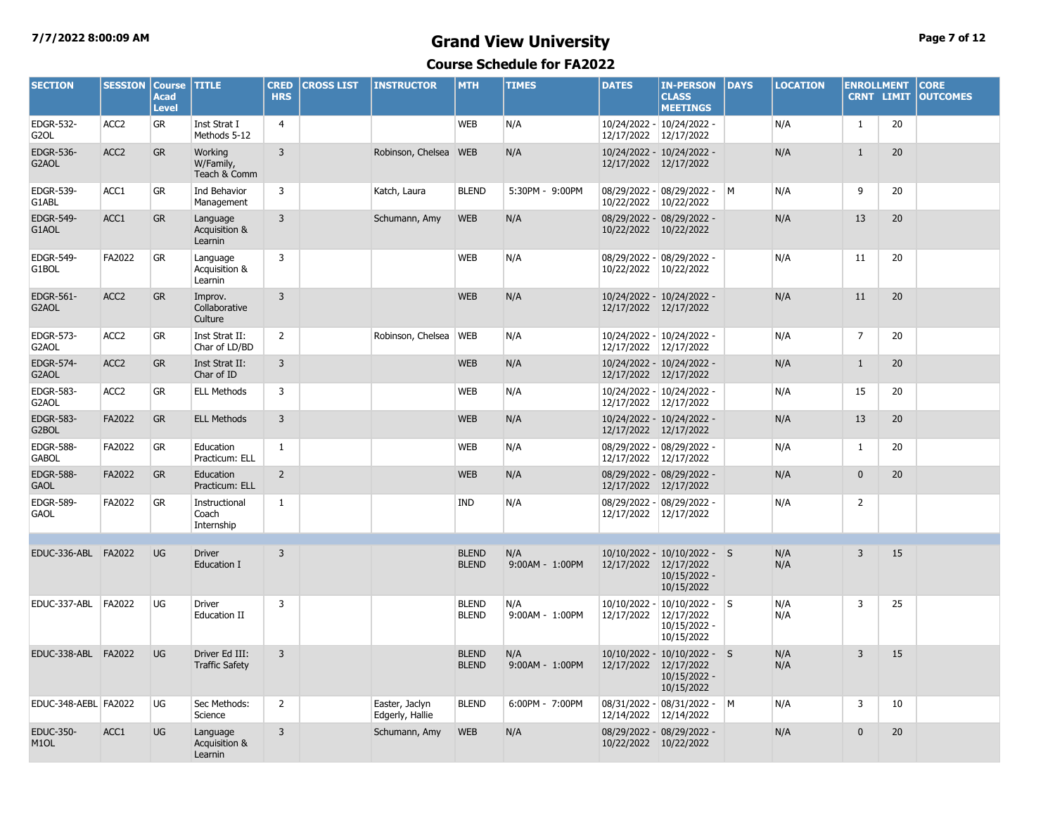## **7/7/2022 8:00:09 AM Grand View University Page 7 of 12**

| <b>SECTION</b>                        | <b>SESSION</b>   | <b>Course</b><br><b>Acad</b><br><b>Level</b> | <b>TITLE</b>                            | <b>CRED</b><br><b>HRS</b> | <b>CROSS LIST</b> | <b>INSTRUCTOR</b>                 | <b>MTH</b>                   | <b>TIMES</b>           | <b>DATES</b>                 | <b>IN-PERSON</b><br><b>CLASS</b><br><b>MEETINGS</b>                     | <b>DAYS</b> | <b>LOCATION</b> | <b>ENROLLMENT</b><br><b>CRNT LIMIT</b> |    | <b>CORE</b><br><b>OUTCOMES</b> |
|---------------------------------------|------------------|----------------------------------------------|-----------------------------------------|---------------------------|-------------------|-----------------------------------|------------------------------|------------------------|------------------------------|-------------------------------------------------------------------------|-------------|-----------------|----------------------------------------|----|--------------------------------|
| <b>EDGR-532-</b><br>G <sub>2</sub> OL | ACC <sub>2</sub> | <b>GR</b>                                    | Inst Strat I<br>Methods 5-12            | $\overline{4}$            |                   |                                   | <b>WEB</b>                   | N/A                    | 12/17/2022 12/17/2022        | 10/24/2022 - 10/24/2022 -                                               |             | N/A             | 1                                      | 20 |                                |
| <b>EDGR-536-</b><br>G2AOL             | ACC <sub>2</sub> | <b>GR</b>                                    | Working<br>W/Family,<br>Teach & Comm    | $\overline{3}$            |                   | Robinson, Chelsea WEB             |                              | N/A                    | 12/17/2022 12/17/2022        | 10/24/2022 - 10/24/2022 -                                               |             | N/A             | $\mathbf{1}$                           | 20 |                                |
| EDGR-539-<br>G1ABL                    | ACC1             | GR                                           | Ind Behavior<br>Management              | 3                         |                   | Katch, Laura                      | <b>BLEND</b>                 | 5:30PM - 9:00PM        | 10/22/2022                   | 08/29/2022 - 08/29/2022 - M<br>10/22/2022                               |             | N/A             | 9                                      | 20 |                                |
| <b>EDGR-549-</b><br>G1AOL             | ACC1             | <b>GR</b>                                    | Language<br>Acquisition &<br>Learnin    | $\overline{3}$            |                   | Schumann, Amy                     | <b>WEB</b>                   | N/A                    | 10/22/2022 10/22/2022        | 08/29/2022 - 08/29/2022 -                                               |             | N/A             | 13                                     | 20 |                                |
| <b>EDGR-549-</b><br>G1BOL             | FA2022           | GR                                           | Language<br>Acquisition &<br>Learnin    | 3                         |                   |                                   | <b>WEB</b>                   | N/A                    | 10/22/2022 10/22/2022        | 08/29/2022 - 08/29/2022 -                                               |             | N/A             | 11                                     | 20 |                                |
| EDGR-561-<br>G2AOL                    | ACC <sub>2</sub> | <b>GR</b>                                    | Improv.<br>Collaborative<br>Culture     | $\overline{3}$            |                   |                                   | <b>WEB</b>                   | N/A                    | 12/17/2022 12/17/2022        | 10/24/2022 - 10/24/2022 -                                               |             | N/A             | 11                                     | 20 |                                |
| <b>EDGR-573-</b><br>G2AOL             | ACC <sub>2</sub> | GR                                           | Inst Strat II:<br>Char of LD/BD         | $\overline{2}$            |                   | Robinson, Chelsea   WEB           |                              | N/A                    | 12/17/2022 12/17/2022        | 10/24/2022 - 10/24/2022 -                                               |             | N/A             | $\overline{7}$                         | 20 |                                |
| <b>EDGR-574-</b><br>G2AOL             | ACC <sub>2</sub> | <b>GR</b>                                    | Inst Strat II:<br>Char of ID            | $\overline{3}$            |                   |                                   | <b>WEB</b>                   | N/A                    | 12/17/2022 12/17/2022        | 10/24/2022 - 10/24/2022 -                                               |             | N/A             | $\mathbf{1}$                           | 20 |                                |
| <b>EDGR-583-</b><br>G2AOL             | ACC <sub>2</sub> | GR                                           | <b>ELL Methods</b>                      | 3                         |                   |                                   | <b>WEB</b>                   | N/A                    | 12/17/2022 12/17/2022        | 10/24/2022 - 10/24/2022 -                                               |             | N/A             | 15                                     | 20 |                                |
| <b>EDGR-583-</b><br>G2BOL             | FA2022           | <b>GR</b>                                    | <b>ELL Methods</b>                      | $\overline{3}$            |                   |                                   | <b>WEB</b>                   | N/A                    | 12/17/2022 12/17/2022        | 10/24/2022 - 10/24/2022 -                                               |             | N/A             | 13                                     | 20 |                                |
| <b>EDGR-588-</b><br><b>GABOL</b>      | FA2022           | GR                                           | Education<br>Practicum: ELL             | $\mathbf{1}$              |                   |                                   | <b>WEB</b>                   | N/A                    | 12/17/2022                   | 08/29/2022 - 08/29/2022 -<br>12/17/2022                                 |             | N/A             | $\mathbf{1}$                           | 20 |                                |
| <b>EDGR-588-</b><br><b>GAOL</b>       | FA2022           | <b>GR</b>                                    | Education<br>Practicum: ELL             | $\overline{2}$            |                   |                                   | <b>WEB</b>                   | N/A                    | 12/17/2022 12/17/2022        | 08/29/2022 - 08/29/2022 -                                               |             | N/A             | $\pmb{0}$                              | 20 |                                |
| <b>EDGR-589-</b><br><b>GAOL</b>       | FA2022           | <b>GR</b>                                    | Instructional<br>Coach<br>Internship    | $\mathbf{1}$              |                   |                                   | <b>IND</b>                   | N/A                    | 12/17/2022                   | 08/29/2022 - 08/29/2022 -<br>12/17/2022                                 |             | N/A             | $\overline{2}$                         |    |                                |
|                                       |                  |                                              |                                         |                           |                   |                                   |                              |                        |                              |                                                                         |             |                 |                                        |    |                                |
| EDUC-336-ABL FA2022                   |                  | <b>UG</b>                                    | <b>Driver</b><br>Education I            | $\overline{3}$            |                   |                                   | <b>BLEND</b><br><b>BLEND</b> | N/A<br>9:00AM - 1:00PM | 12/17/2022 12/17/2022        | 10/10/2022 - 10/10/2022 - S<br>10/15/2022 -<br>10/15/2022               |             | N/A<br>N/A      | $\overline{3}$                         | 15 |                                |
| EDUC-337-ABL                          | FA2022           | UG                                           | <b>Driver</b><br><b>Education II</b>    | 3                         |                   |                                   | <b>BLEND</b><br><b>BLEND</b> | N/A<br>9:00AM - 1:00PM | $10/10/2022 -$<br>12/17/2022 | $10/10/2022 - S$<br>12/17/2022<br>10/15/2022 -<br>10/15/2022            |             | N/A<br>N/A      | 3                                      | 25 |                                |
| EDUC-338-ABL FA2022                   |                  | <b>UG</b>                                    | Driver Ed III:<br><b>Traffic Safety</b> | $\overline{3}$            |                   |                                   | <b>BLEND</b><br><b>BLEND</b> | N/A<br>9:00AM - 1:00PM | 12/17/2022                   | 10/10/2022 - 10/10/2022 - S<br>12/17/2022<br>10/15/2022 -<br>10/15/2022 |             | N/A<br>N/A      | 3                                      | 15 |                                |
| EDUC-348-AEBL FA2022                  |                  | UG                                           | Sec Methods:<br>Science                 | $\overline{2}$            |                   | Easter, Jaclyn<br>Edgerly, Hallie | <b>BLEND</b>                 | 6:00PM - 7:00PM        | 12/14/2022                   | 08/31/2022 - 08/31/2022 -<br>12/14/2022                                 | <b>M</b>    | N/A             | 3                                      | 10 |                                |
| <b>EDUC-350-</b><br>M <sub>1</sub> OL | ACC1             | <b>UG</b>                                    | Language<br>Acquisition &<br>Learnin    | $\overline{3}$            |                   | Schumann, Amy                     | <b>WEB</b>                   | N/A                    | 10/22/2022 10/22/2022        | 08/29/2022 - 08/29/2022 -                                               |             | N/A             | $\mathbf{0}$                           | 20 |                                |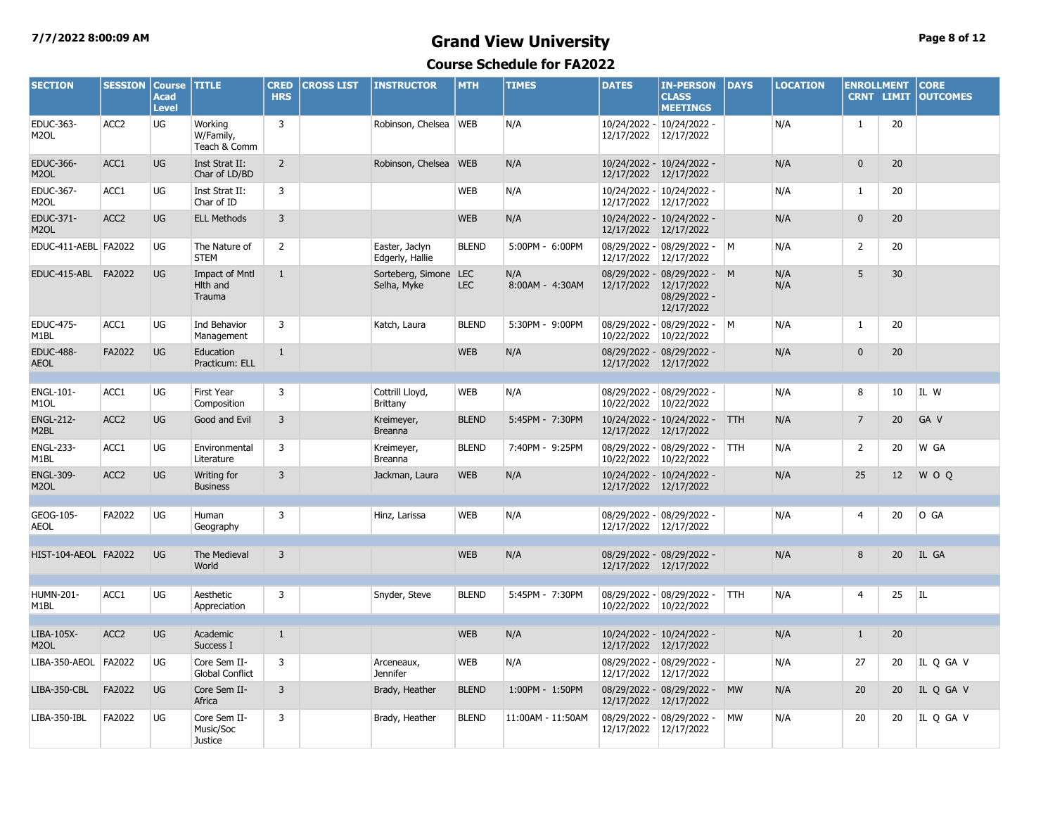## **7/7/2022 8:00:09 AM Grand View University Page 8 of 12**

| <b>SECTION</b>                        | <b>SESSION</b>   | <b>Course</b><br><b>Acad</b><br><b>Level</b> | <b>TITLE</b>                                       | <b>CRED</b><br><b>HRS</b> | <b>CROSS LIST</b> | <b>INSTRUCTOR</b>                    | <b>MTH</b>   | <b>TIMES</b>           | <b>DATES</b>               | <b>IN-PERSON</b><br><b>CLASS</b><br><b>MEETINGS</b>       | <b>DAYS</b>  | <b>LOCATION</b> | <b>ENROLLMENT</b><br><b>CRNT LIMIT</b> |    | <b>CORE</b><br><b>OUTCOMES</b> |
|---------------------------------------|------------------|----------------------------------------------|----------------------------------------------------|---------------------------|-------------------|--------------------------------------|--------------|------------------------|----------------------------|-----------------------------------------------------------|--------------|-----------------|----------------------------------------|----|--------------------------------|
| EDUC-363-<br>M <sub>2</sub> OL        | ACC <sub>2</sub> | UG                                           | Workina<br>W/Family,<br>Teach & Comm               | $\overline{3}$            |                   | Robinson, Chelsea   WEB              |              | N/A                    | 12/17/2022                 | 10/24/2022 - 10/24/2022 -<br>12/17/2022                   |              | N/A             | $\mathbf{1}$                           | 20 |                                |
| <b>EDUC-366-</b><br>M <sub>2</sub> OL | ACC1             | UG                                           | Inst Strat II:<br>Char of LD/BD                    | $\overline{2}$            |                   | Robinson, Chelsea WEB                |              | N/A                    | 12/17/2022                 | 10/24/2022 - 10/24/2022 -<br>12/17/2022                   |              | N/A             | $\mathbf 0$                            | 20 |                                |
| EDUC-367-<br>M <sub>2</sub> OL        | ACC1             | UG                                           | Inst Strat II:<br>Char of ID                       | 3                         |                   |                                      | <b>WEB</b>   | N/A                    | 12/17/2022 12/17/2022      | 10/24/2022 - 10/24/2022 -                                 |              | N/A             | $\mathbf{1}$                           | 20 |                                |
| EDUC-371-<br>M <sub>2</sub> OL        | ACC <sub>2</sub> | UG                                           | <b>ELL Methods</b>                                 | 3                         |                   |                                      | <b>WEB</b>   | N/A                    | 12/17/2022 12/17/2022      | 10/24/2022 - 10/24/2022 -                                 |              | N/A             | $\mathbf{0}$                           | 20 |                                |
| EDUC-411-AEBL FA2022                  |                  | UG                                           | The Nature of<br><b>STEM</b>                       | 2                         |                   | Easter, Jaclyn<br>Edgerly, Hallie    | <b>BLEND</b> | 5:00PM - 6:00PM        | 12/17/2022 12/17/2022      | 08/29/2022 - 08/29/2022 - M                               |              | N/A             | $\overline{2}$                         | 20 |                                |
| EDUC-415-ABL FA2022                   |                  | UG                                           | <b>Impact of Mntl</b><br><b>Hlth</b> and<br>Trauma | 1                         |                   | Sorteberg, Simone LEC<br>Selha, Myke | <b>LEC</b>   | N/A<br>8:00AM - 4:30AM | 12/17/2022 12/17/2022      | 08/29/2022 - 08/29/2022 - M<br>08/29/2022 -<br>12/17/2022 |              | N/A<br>N/A      | 5                                      | 30 |                                |
| <b>EDUC-475-</b><br>M1BL              | ACC1             | UG                                           | Ind Behavior<br>Management                         | $\overline{3}$            |                   | Katch, Laura                         | <b>BLEND</b> | 5:30PM - 9:00PM        | 10/22/2022                 | 08/29/2022 - 08/29/2022 -<br>10/22/2022                   | $\mathsf{M}$ | N/A             | $\mathbf{1}$                           | 20 |                                |
| <b>EDUC-488-</b><br><b>AEOL</b>       | FA2022           | UG                                           | Education<br>Practicum: ELL                        | $\mathbf{1}$              |                   |                                      | <b>WEB</b>   | N/A                    | 12/17/2022 12/17/2022      | 08/29/2022 - 08/29/2022 -                                 |              | N/A             | $\mathbf{0}$                           | 20 |                                |
| <b>ENGL-101-</b><br>M <sub>1</sub> OL | ACC1             | UG                                           | <b>First Year</b><br>Composition                   | 3                         |                   | Cottrill Lloyd,<br><b>Brittany</b>   | <b>WEB</b>   | N/A                    | 10/22/2022 10/22/2022      | 08/29/2022 - 08/29/2022 -                                 |              | N/A             | 8                                      | 10 | IL W                           |
| <b>ENGL-212-</b><br>M <sub>2</sub> BL | ACC <sub>2</sub> | UG                                           | Good and Evil                                      | 3                         |                   | Kreimeyer,<br>Breanna                | <b>BLEND</b> | 5:45PM - 7:30PM        | 12/17/2022 12/17/2022      | 10/24/2022 - 10/24/2022 - TTH                             |              | N/A             | $\overline{7}$                         | 20 | GA V                           |
| <b>ENGL-233-</b><br>M <sub>1</sub> BL | ACC1             | UG                                           | Environmental<br>Literature                        | 3                         |                   | Kreimeyer,<br><b>Breanna</b>         | <b>BLEND</b> | 7:40PM - 9:25PM        | 10/22/2022 10/22/2022      | 08/29/2022 - 08/29/2022 -                                 | <b>TTH</b>   | N/A             | $\overline{2}$                         | 20 | W GA                           |
| <b>ENGL-309-</b><br>M <sub>2</sub> OL | ACC <sub>2</sub> | UG                                           | Writing for<br><b>Business</b>                     | 3                         |                   | Jackman, Laura                       | <b>WEB</b>   | N/A                    | 12/17/2022 12/17/2022      | 10/24/2022 - 10/24/2022 -                                 |              | N/A             | 25                                     | 12 | W O Q                          |
| GEOG-105-<br><b>AEOL</b>              | FA2022           | UG                                           | Human<br>Geography                                 | 3                         |                   | Hinz, Larissa                        | <b>WEB</b>   | N/A                    | 12/17/2022 12/17/2022      | 08/29/2022 - 08/29/2022 -                                 |              | N/A             | 4                                      | 20 | O GA                           |
| HIST-104-AEOL FA2022                  |                  | <b>UG</b>                                    | The Medieval<br>World                              | $\overline{3}$            |                   |                                      | <b>WEB</b>   | N/A                    | 12/17/2022 12/17/2022      | 08/29/2022 - 08/29/2022 -                                 |              | N/A             | 8                                      | 20 | IL GA                          |
| HUMN-201-<br>M <sub>1</sub> BL        | ACC1             | UG                                           | Aesthetic<br>Appreciation                          | 3                         |                   | Snyder, Steve                        | <b>BLEND</b> | 5:45PM - 7:30PM        | 10/22/2022 10/22/2022      | 08/29/2022 - 08/29/2022 -                                 | <b>TTH</b>   | N/A             | $\overline{4}$                         | 25 | IL                             |
| LIBA-105X-<br>M <sub>2</sub> OL       | ACC <sub>2</sub> | UG                                           | Academic<br>Success I                              | $\mathbf{1}$              |                   |                                      | <b>WEB</b>   | N/A                    | 12/17/2022 12/17/2022      | 10/24/2022 - 10/24/2022 -                                 |              | N/A             | $\mathbf{1}$                           | 20 |                                |
| LIBA-350-AEOL FA2022                  |                  | UG                                           | Core Sem II-<br><b>Global Conflict</b>             | 3                         |                   | Arceneaux,<br><b>Jennifer</b>        | <b>WEB</b>   | N/A                    | 12/17/2022 12/17/2022      | 08/29/2022 - 08/29/2022 -                                 |              | N/A             | 27                                     | 20 | IL Q GA V                      |
| LIBA-350-CBL                          | FA2022           | UG                                           | Core Sem II-<br>Africa                             | 3                         |                   | Brady, Heather                       | <b>BLEND</b> | 1:00PM - 1:50PM        | 12/17/2022                 | 08/29/2022 - 08/29/2022 -<br>12/17/2022                   | <b>MW</b>    | N/A             | 20                                     | 20 | IL Q GA V                      |
| LIBA-350-IBL                          | FA2022           | UG                                           | Core Sem II-<br>Music/Soc<br>Justice               | 3                         |                   | Brady, Heather                       | <b>BLEND</b> | 11:00AM - 11:50AM      | 08/29/2022 -<br>12/17/2022 | 08/29/2022 -<br>12/17/2022                                | <b>MW</b>    | N/A             | 20                                     | 20 | IL Q GA V                      |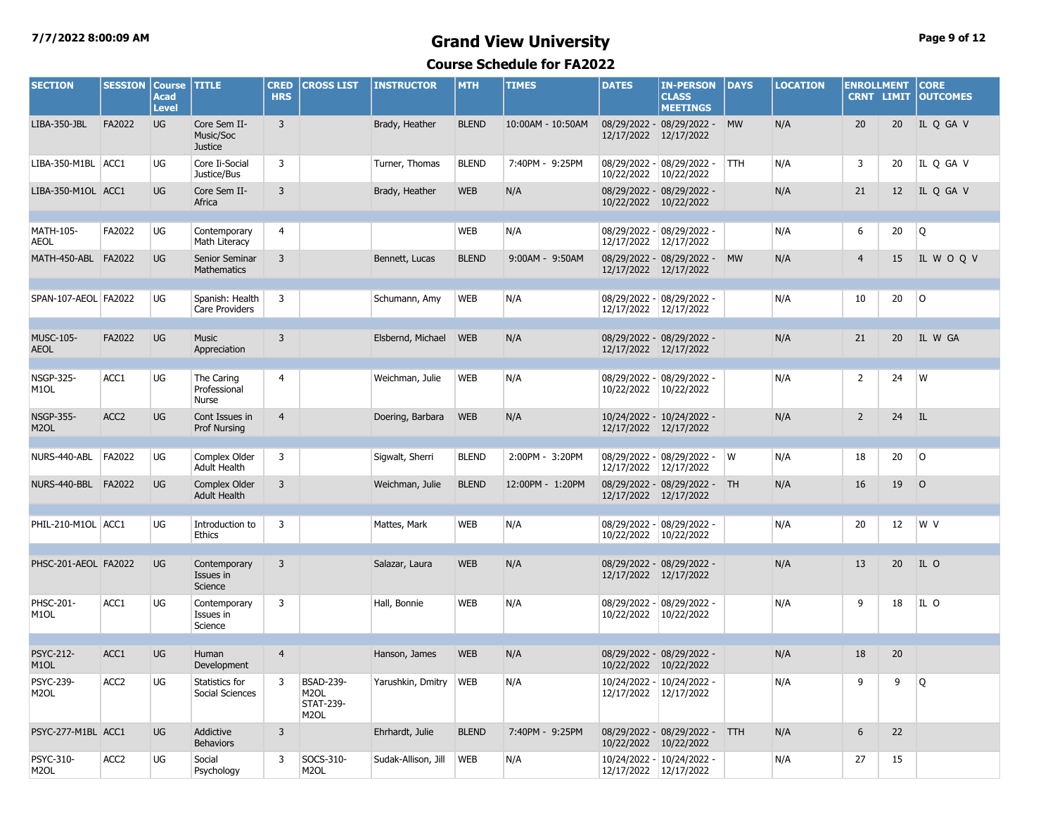## **7/7/2022 8:00:09 AM Grand View University Page 9 of 12**

| <b>SECTION</b>                        | <b>SESSION</b>   | <b>Course</b><br><b>Acad</b><br><b>Level</b> | <b>TITLE</b>                                | <b>CRED</b><br><b>HRS</b> | <b>CROSS LIST</b>                                                              | <b>INSTRUCTOR</b>   | <b>MTH</b>   | <b>TIMES</b>      | <b>DATES</b>          | <b>IN-PERSON</b><br><b>CLASS</b><br><b>MEETINGS</b> | DAYS                    | <b>LOCATION</b> | <b>ENROLLMENT</b><br><b>CRNT LIMIT</b> |    | <b>CORE</b><br><b>OUTCOMES</b> |
|---------------------------------------|------------------|----------------------------------------------|---------------------------------------------|---------------------------|--------------------------------------------------------------------------------|---------------------|--------------|-------------------|-----------------------|-----------------------------------------------------|-------------------------|-----------------|----------------------------------------|----|--------------------------------|
| LIBA-350-JBL                          | FA2022           | UG                                           | Core Sem II-<br>Music/Soc<br><b>Justice</b> | $\overline{3}$            |                                                                                | Brady, Heather      | <b>BLEND</b> | 10:00AM - 10:50AM | 12/17/2022 12/17/2022 | 08/29/2022 - 08/29/2022 -                           | <b>MW</b>               | N/A             | 20                                     | 20 | IL Q GA V                      |
| LIBA-350-M1BL ACC1                    |                  | UG                                           | Core Ii-Social<br>Justice/Bus               | 3                         |                                                                                | Turner, Thomas      | <b>BLEND</b> | 7:40PM - 9:25PM   | 10/22/2022 10/22/2022 | 08/29/2022 - 08/29/2022 -                           | <b>TTH</b>              | N/A             | 3                                      | 20 | IL Q GA V                      |
| LIBA-350-M1OL ACC1                    |                  | <b>UG</b>                                    | Core Sem II-<br>Africa                      | $\overline{3}$            |                                                                                | Brady, Heather      | <b>WEB</b>   | N/A               | 10/22/2022 10/22/2022 | 08/29/2022 - 08/29/2022 -                           |                         | N/A             | 21                                     | 12 | IL Q GA V                      |
| MATH-105-<br><b>AEOL</b>              | FA2022           | UG                                           | Contemporary<br>Math Literacy               | 4                         |                                                                                |                     | <b>WEB</b>   | N/A               | 12/17/2022 12/17/2022 | 08/29/2022 - 08/29/2022 -                           |                         | N/A             | 6                                      | 20 | Q                              |
| MATH-450-ABL FA2022                   |                  | UG                                           | Senior Seminar<br><b>Mathematics</b>        | $\overline{3}$            |                                                                                | Bennett, Lucas      | <b>BLEND</b> | 9:00AM - 9:50AM   | 12/17/2022 12/17/2022 | 08/29/2022 - 08/29/2022 -                           | <b>MW</b>               | N/A             | $\overline{4}$                         | 15 | IL WOQV                        |
| SPAN-107-AEOL FA2022                  |                  | UG                                           | Spanish: Health<br>Care Providers           | 3                         |                                                                                | Schumann, Amy       | <b>WEB</b>   | N/A               | 12/17/2022 12/17/2022 | 08/29/2022 - 08/29/2022 -                           |                         | N/A             | 10                                     | 20 | $\circ$                        |
| <b>MUSC-105-</b><br><b>AEOL</b>       | FA2022           | <b>UG</b>                                    | <b>Music</b><br>Appreciation                | $\overline{3}$            |                                                                                | Elsbernd, Michael   | <b>WEB</b>   | N/A               | 12/17/2022 12/17/2022 | 08/29/2022 - 08/29/2022 -                           |                         | N/A             | 21                                     | 20 | IL W GA                        |
| <b>NSGP-325-</b><br>M <sub>1</sub> OL | ACC1             | UG                                           | The Caring<br>Professional<br><b>Nurse</b>  | 4                         |                                                                                | Weichman, Julie     | <b>WEB</b>   | N/A               |                       | 08/29/2022 - 08/29/2022 -<br>10/22/2022 10/22/2022  |                         | N/A             | $\overline{2}$                         | 24 | W                              |
| <b>NSGP-355-</b><br>M <sub>2</sub> OL | ACC <sub>2</sub> | UG                                           | Cont Issues in<br>Prof Nursing              | $\overline{4}$            |                                                                                | Doering, Barbara    | <b>WEB</b>   | N/A               | 12/17/2022 12/17/2022 | 10/24/2022 - 10/24/2022 -                           |                         | N/A             | $\overline{2}$                         | 24 | IL                             |
| NURS-440-ABL                          | FA2022           | UG                                           | Complex Older<br><b>Adult Health</b>        | $\overline{3}$            |                                                                                | Sigwalt, Sherri     | <b>BLEND</b> | 2:00PM - 3:20PM   | 12/17/2022            | 08/29/2022 - 08/29/2022 -<br>12/17/2022             | $\mathsf{I} \mathsf{W}$ | N/A             | 18                                     | 20 | l O                            |
| NURS-440-BBL FA2022                   |                  | <b>UG</b>                                    | Complex Older<br><b>Adult Health</b>        | 3                         |                                                                                | Weichman, Julie     | <b>BLEND</b> | 12:00PM - 1:20PM  | 12/17/2022 12/17/2022 | 08/29/2022 - 08/29/2022 - TH                        |                         | N/A             | 16                                     | 19 | $\circ$                        |
| PHIL-210-M1OL ACC1                    |                  | UG                                           | Introduction to<br>Ethics                   | $\overline{3}$            |                                                                                | Mattes, Mark        | <b>WEB</b>   | N/A               | 10/22/2022 10/22/2022 | 08/29/2022 - 08/29/2022 -                           |                         | N/A             | 20                                     | 12 | W V                            |
| PHSC-201-AEOL FA2022                  |                  | UG                                           | Contemporary<br>Issues in<br>Science        | $\overline{3}$            |                                                                                | Salazar, Laura      | <b>WEB</b>   | N/A               | 12/17/2022 12/17/2022 | 08/29/2022 - 08/29/2022 -                           |                         | N/A             | 13                                     | 20 | IL O                           |
| PHSC-201-<br>M <sub>1</sub> OL        | ACC1             | UG                                           | Contemporary<br>Issues in<br>Science        | 3                         |                                                                                | Hall, Bonnie        | <b>WEB</b>   | N/A               | 10/22/2022 10/22/2022 | 08/29/2022 - 08/29/2022 -                           |                         | N/A             | 9                                      | 18 | IL O                           |
| PSYC-212-<br>M <sub>1</sub> OL        | ACC1             | UG                                           | Human<br>Development                        | $\overline{4}$            |                                                                                | Hanson, James       | <b>WEB</b>   | N/A               | 10/22/2022 10/22/2022 | 08/29/2022 - 08/29/2022 -                           |                         | N/A             | 18                                     | 20 |                                |
| PSYC-239-<br>M2OL                     | ACC <sub>2</sub> | UG                                           | Statistics for<br>Social Sciences           | 3                         | <b>BSAD-239-</b><br>M <sub>2</sub> OL<br><b>STAT-239-</b><br>M <sub>2</sub> OL | Yarushkin, Dmitry   | <b>WEB</b>   | N/A               | 12/17/2022 12/17/2022 | 10/24/2022 - 10/24/2022 -                           |                         | N/A             | 9                                      | 9  | Q                              |
| PSYC-277-M1BL ACC1                    |                  | <b>UG</b>                                    | Addictive<br><b>Behaviors</b>               | $\overline{3}$            |                                                                                | Ehrhardt, Julie     | <b>BLEND</b> | 7:40PM - 9:25PM   | 10/22/2022 10/22/2022 | 08/29/2022 - 08/29/2022 - TTH                       |                         | N/A             | 6                                      | 22 |                                |
| PSYC-310-<br>M <sub>2</sub> OL        | ACC <sub>2</sub> | UG                                           | Social<br>Psychology                        | 3                         | SOCS-310-<br>M <sub>2</sub> OL                                                 | Sudak-Allison, Jill | <b>WEB</b>   | N/A               | 12/17/2022 12/17/2022 | 10/24/2022 - 10/24/2022 -                           |                         | N/A             | 27                                     | 15 |                                |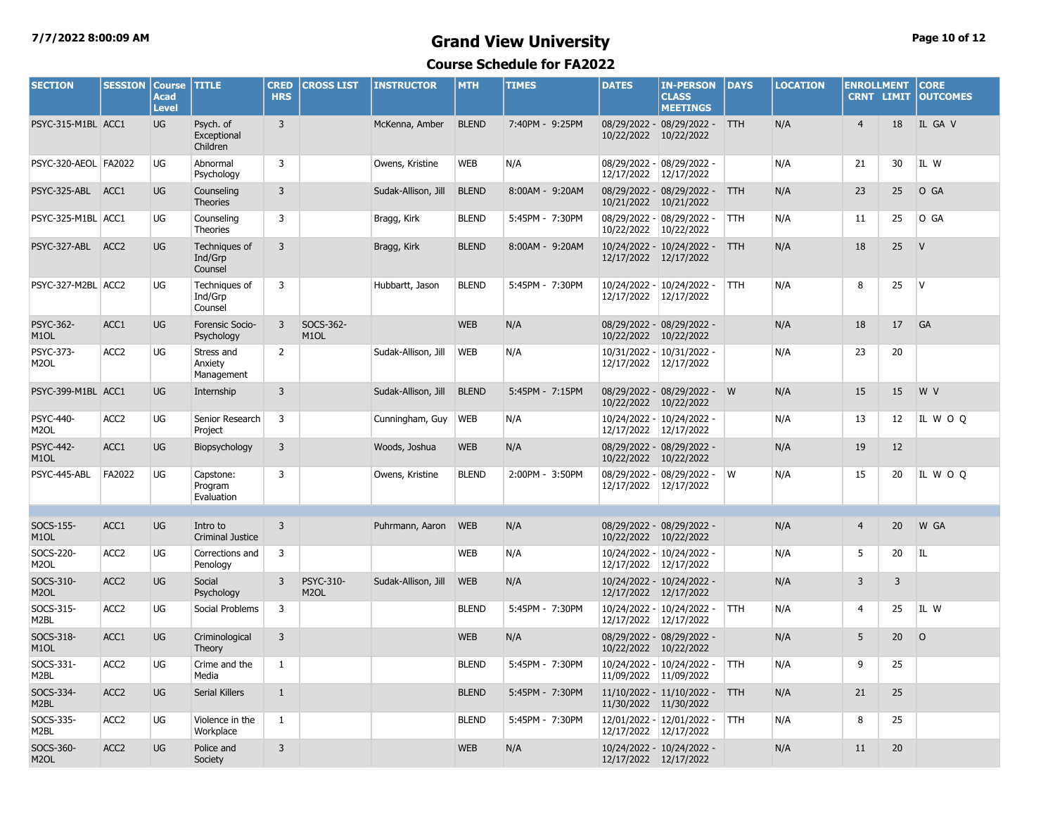## **7/7/2022 8:00:09 AM Grand View University Page 10 of 12**

| <b>SECTION</b>                        | <b>SESSION</b>   | <b>Course</b><br><b>Acad</b><br><b>Level</b> | <b>TITLE</b>                         | <b>CRED</b><br><b>HRS</b> | <b>CROSS LIST</b>                     | <b>INSTRUCTOR</b>   | <b>MTH</b>   | <b>TIMES</b>    | <b>DATES</b>          | <b>IN-PERSON</b><br><b>CLASS</b><br><b>MEETINGS</b> | <b>DAYS</b> | <b>LOCATION</b> | <b>ENROLLMENT</b><br><b>CRNT LIMIT</b> |                | <b>CORE</b><br><b>OUTCOMES</b> |
|---------------------------------------|------------------|----------------------------------------------|--------------------------------------|---------------------------|---------------------------------------|---------------------|--------------|-----------------|-----------------------|-----------------------------------------------------|-------------|-----------------|----------------------------------------|----------------|--------------------------------|
| PSYC-315-M1BL ACC1                    |                  | UG                                           | Psych. of<br>Exceptional<br>Children | 3                         |                                       | McKenna, Amber      | <b>BLEND</b> | 7:40PM - 9:25PM | 10/22/2022 10/22/2022 | 08/29/2022 - 08/29/2022 - TTH                       |             | N/A             | $\overline{4}$                         | 18             | IL GA V                        |
| PSYC-320-AEOL FA2022                  |                  | UG                                           | Abnormal<br>Psychology               | 3                         |                                       | Owens, Kristine     | <b>WEB</b>   | N/A             | 12/17/2022 12/17/2022 | 08/29/2022 - 08/29/2022 -                           |             | N/A             | 21                                     | 30             | IL W                           |
| PSYC-325-ABL ACC1                     |                  | UG                                           | Counseling<br><b>Theories</b>        | 3                         |                                       | Sudak-Allison, Jill | <b>BLEND</b> | 8:00AM - 9:20AM | 10/21/2022 10/21/2022 | 08/29/2022 - 08/29/2022 - TTH                       |             | N/A             | 23                                     | 25             | O GA                           |
| PSYC-325-M1BL ACC1                    |                  | UG                                           | Counseling<br>Theories               | 3                         |                                       | Bragg, Kirk         | <b>BLEND</b> | 5:45PM - 7:30PM | 10/22/2022            | 08/29/2022 - 08/29/2022 -<br>10/22/2022             | <b>TTH</b>  | N/A             | 11                                     | 25             | O GA                           |
| PSYC-327-ABL ACC2                     |                  | UG                                           | Techniques of<br>Ind/Grp<br>Counsel  | $\overline{3}$            |                                       | Bragg, Kirk         | <b>BLEND</b> | 8:00AM - 9:20AM | 12/17/2022 12/17/2022 | 10/24/2022 - 10/24/2022 -                           | <b>TTH</b>  | N/A             | 18                                     | 25             | V                              |
| PSYC-327-M2BL ACC2                    |                  | UG                                           | Techniques of<br>Ind/Grp<br>Counsel  | 3                         |                                       | Hubbartt, Jason     | <b>BLEND</b> | 5:45PM - 7:30PM | 12/17/2022            | 10/24/2022 - 10/24/2022 -<br>12/17/2022             | <b>TTH</b>  | N/A             | 8                                      | 25             | <b>V</b>                       |
| <b>PSYC-362-</b><br>M <sub>1</sub> OL | ACC1             | UG                                           | Forensic Socio-<br>Psychology        | $\overline{3}$            | SOCS-362-<br>M <sub>1</sub> OL        |                     | <b>WEB</b>   | N/A             | 10/22/2022 10/22/2022 | 08/29/2022 - 08/29/2022 -                           |             | N/A             | 18                                     | 17             | GA                             |
| PSYC-373-<br>M <sub>2</sub> OL        | ACC <sub>2</sub> | UG                                           | Stress and<br>Anxiety<br>Management  | $\overline{2}$            |                                       | Sudak-Allison, Jill | <b>WEB</b>   | N/A             | 12/17/2022 12/17/2022 | 10/31/2022 - 10/31/2022 -                           |             | N/A             | 23                                     | 20             |                                |
| PSYC-399-M1BL ACC1                    |                  | <b>UG</b>                                    | Internship                           | $\overline{3}$            |                                       | Sudak-Allison, Jill | <b>BLEND</b> | 5:45PM - 7:15PM | 10/22/2022            | 08/29/2022 - 08/29/2022 - W<br>10/22/2022           |             | N/A             | 15                                     | 15             | W V                            |
| <b>PSYC-440-</b><br>M <sub>2</sub> OL | ACC <sub>2</sub> | UG                                           | Senior Research<br>Project           | 3                         |                                       | Cunningham, Guy     | <b>WEB</b>   | N/A             | 12/17/2022 12/17/2022 | 10/24/2022 - 10/24/2022 -                           |             | N/A             | 13                                     | 12             | IL WOQ                         |
| <b>PSYC-442-</b><br>M <sub>1</sub> OL | ACC1             | UG                                           | Biopsychology                        | $\overline{3}$            |                                       | Woods, Joshua       | <b>WEB</b>   | N/A             | 10/22/2022 10/22/2022 | 08/29/2022 - 08/29/2022 -                           |             | N/A             | 19                                     | 12             |                                |
| PSYC-445-ABL                          | FA2022           | UG                                           | Capstone:<br>Program<br>Evaluation   | 3                         |                                       | Owens, Kristine     | <b>BLEND</b> | 2:00PM - 3:50PM | 12/17/2022 12/17/2022 | 08/29/2022 - 08/29/2022 - W                         |             | N/A             | 15                                     | 20             | IL WOQ                         |
|                                       |                  |                                              |                                      |                           |                                       |                     |              |                 |                       |                                                     |             |                 |                                        |                |                                |
| SOCS-155-<br>M <sub>1</sub> OL        | ACC1             | UG                                           | Intro to<br><b>Criminal Justice</b>  | $\overline{3}$            |                                       | Puhrmann, Aaron     | <b>WEB</b>   | N/A             | 10/22/2022 10/22/2022 | 08/29/2022 - 08/29/2022 -                           |             | N/A             | $\overline{4}$                         | 20             | W GA                           |
| SOCS-220-<br>M <sub>2</sub> OL        | ACC <sub>2</sub> | UG                                           | Corrections and<br>Penology          | 3                         |                                       |                     | <b>WEB</b>   | N/A             | 12/17/2022 12/17/2022 | 10/24/2022 - 10/24/2022 -                           |             | N/A             | 5                                      | 20             | IL                             |
| SOCS-310-<br>M <sub>2</sub> OL        | ACC <sub>2</sub> | UG                                           | Social<br>Psychology                 | 3                         | <b>PSYC-310-</b><br>M <sub>2</sub> OL | Sudak-Allison, Jill | <b>WEB</b>   | N/A             | 12/17/2022 12/17/2022 | 10/24/2022 - 10/24/2022 -                           |             | N/A             | 3                                      | $\overline{3}$ |                                |
| SOCS-315-<br>M2BL                     | ACC <sub>2</sub> | UG                                           | Social Problems                      | 3                         |                                       |                     | <b>BLEND</b> | 5:45PM - 7:30PM | 12/17/2022 12/17/2022 | 10/24/2022 - 10/24/2022 -                           | <b>TTH</b>  | N/A             | 4                                      | 25             | IL W                           |
| SOCS-318-<br>M <sub>1</sub> OL        | ACC1             | UG                                           | Criminological<br>Theory             | $\overline{3}$            |                                       |                     | <b>WEB</b>   | N/A             | 10/22/2022 10/22/2022 | 08/29/2022 - 08/29/2022 -                           |             | N/A             | 5                                      | 20             | $\circ$                        |
| SOCS-331-<br>M2BL                     | ACC <sub>2</sub> | UG                                           | Crime and the<br>Media               | $\mathbf{1}$              |                                       |                     | <b>BLEND</b> | 5:45PM - 7:30PM | 11/09/2022 11/09/2022 | 10/24/2022 - 10/24/2022 -                           | <b>TTH</b>  | N/A             | 9                                      | 25             |                                |
| SOCS-334-<br>M <sub>2</sub> BL        | ACC <sub>2</sub> | UG                                           | <b>Serial Killers</b>                | $\mathbf{1}$              |                                       |                     | <b>BLEND</b> | 5:45PM - 7:30PM | 11/30/2022 11/30/2022 | 11/10/2022 - 11/10/2022 -                           | <b>TTH</b>  | N/A             | 21                                     | 25             |                                |
| SOCS-335-<br>M2BL                     | ACC <sub>2</sub> | UG                                           | Violence in the<br>Workplace         | $\mathbf{1}$              |                                       |                     | <b>BLEND</b> | 5:45PM - 7:30PM | 12/17/2022 12/17/2022 | 12/01/2022 - 12/01/2022 -                           | <b>TTH</b>  | N/A             | 8                                      | 25             |                                |
| SOCS-360-<br>M <sub>2</sub> OL        | ACC <sub>2</sub> | UG                                           | Police and<br>Society                | $\overline{3}$            |                                       |                     | <b>WEB</b>   | N/A             | 12/17/2022 12/17/2022 | 10/24/2022 - 10/24/2022 -                           |             | N/A             | 11                                     | 20             |                                |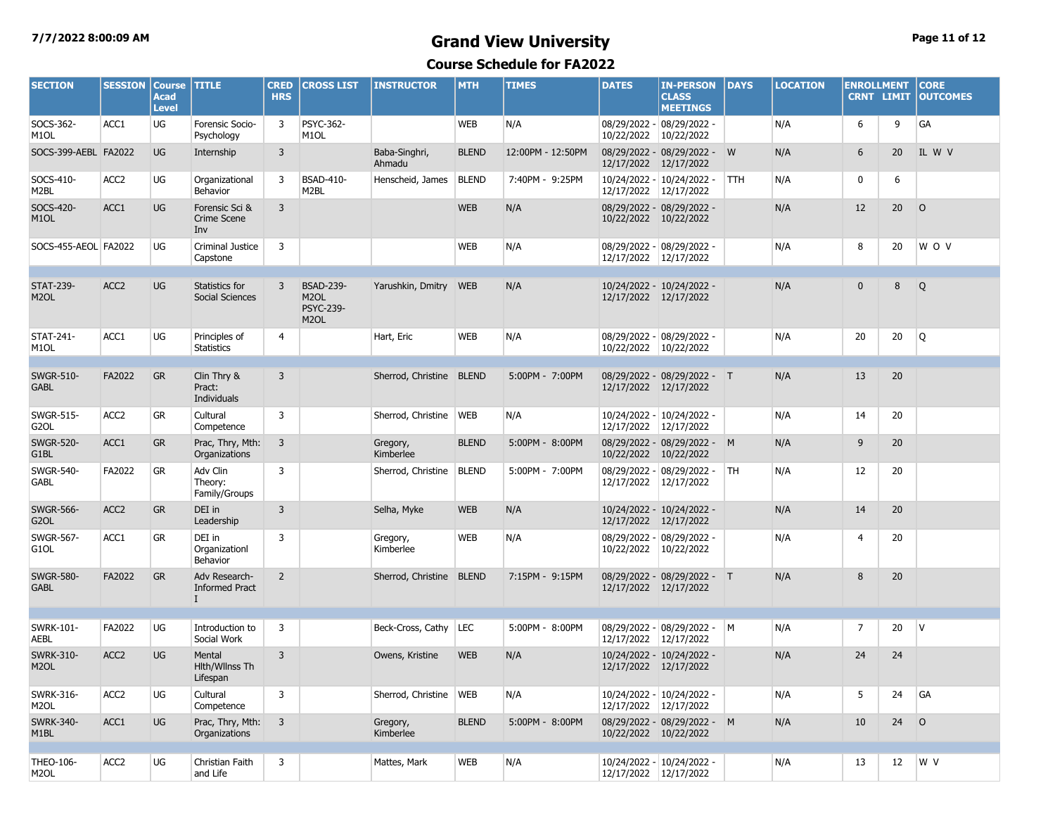## **7/7/2022 8:00:09 AM Grand View University Page 11 of 12**

| <b>SECTION</b>                        | <b>SESSION</b>   | <b>Course</b><br>Acad<br><b>Level</b> | <b>TITLE</b>                           | <b>CRED</b><br><b>HRS</b> | <b>CROSS LIST</b>                                                              | <b>INSTRUCTOR</b>        | <b>MTH</b>   | <b>TIMES</b>      | <b>DATES</b>               | <b>IN-PERSON</b><br><b>CLASS</b><br><b>MEETINGS</b> | <b>DAYS</b> | <b>LOCATION</b> | <b>ENROLLMENT</b><br><b>CRNT LIMIT</b> |    | <b>CORE</b><br><b>OUTCOMES</b> |
|---------------------------------------|------------------|---------------------------------------|----------------------------------------|---------------------------|--------------------------------------------------------------------------------|--------------------------|--------------|-------------------|----------------------------|-----------------------------------------------------|-------------|-----------------|----------------------------------------|----|--------------------------------|
| SOCS-362-<br>M <sub>1</sub> OL        | ACC1             | UG                                    | Forensic Socio-<br>Psychology          | 3                         | <b>PSYC-362-</b><br>M <sub>1</sub> OL                                          |                          | WEB          | N/A               | 10/22/2022                 | 08/29/2022 - 08/29/2022 -<br>10/22/2022             |             | N/A             | 6                                      | 9  | GA                             |
| SOCS-399-AEBL FA2022                  |                  | <b>UG</b>                             | Internship                             | 3                         |                                                                                | Baba-Singhri,<br>Ahmadu  | <b>BLEND</b> | 12:00PM - 12:50PM | 12/17/2022                 | 08/29/2022 - 08/29/2022 - W<br>12/17/2022           |             | N/A             | 6                                      | 20 | IL W V                         |
| SOCS-410-<br>M2BL                     | ACC <sub>2</sub> | UG                                    | Organizational<br>Behavior             | 3                         | <b>BSAD-410-</b><br>M2BL                                                       | Henscheid, James         | <b>BLEND</b> | 7:40PM - 9:25PM   | 12/17/2022                 | 10/24/2022 - 10/24/2022 -<br>12/17/2022             | <b>TTH</b>  | N/A             | 0                                      | 6  |                                |
| SOCS-420-<br>M <sub>1</sub> OL        | ACC1             | <b>UG</b>                             | Forensic Sci &<br>Crime Scene<br>Inv   | 3                         |                                                                                |                          | <b>WEB</b>   | N/A               | 10/22/2022 10/22/2022      | 08/29/2022 - 08/29/2022 -                           |             | N/A             | 12                                     | 20 | $\circ$                        |
| SOCS-455-AEOL FA2022                  |                  | UG                                    | Criminal Justice<br>Capstone           | 3                         |                                                                                |                          | <b>WEB</b>   | N/A               | 12/17/2022 12/17/2022      | 08/29/2022 - 08/29/2022 -                           |             | N/A             | 8                                      | 20 | W O V                          |
| <b>STAT-239-</b><br>M <sub>2</sub> OL | ACC <sub>2</sub> | <b>UG</b>                             | Statistics for<br>Social Sciences      | 3                         | <b>BSAD-239-</b><br>M <sub>2</sub> OL<br><b>PSYC-239-</b><br>M <sub>2</sub> OL | Yarushkin, Dmitry        | <b>WEB</b>   | N/A               | 12/17/2022 12/17/2022      | 10/24/2022 - 10/24/2022 -                           |             | N/A             | $\mathbf 0$                            | 8  | Q                              |
| STAT-241-<br>M <sub>1</sub> OL        | ACC1             | UG                                    | Principles of<br>Statistics            | 4                         |                                                                                | Hart, Eric               | <b>WEB</b>   | N/A               | 10/22/2022 10/22/2022      | 08/29/2022 - 08/29/2022 -                           |             | N/A             | 20                                     | 20 | Q                              |
| <b>SWGR-510-</b><br><b>GABL</b>       | FA2022           | <b>GR</b>                             | Clin Thry &<br>Pract:<br>Individuals   | 3                         |                                                                                | Sherrod, Christine BLEND |              | 5:00PM - 7:00PM   | 12/17/2022 12/17/2022      | 08/29/2022 - 08/29/2022 - T                         |             | N/A             | 13                                     | 20 |                                |
| <b>SWGR-515-</b><br>G <sub>2</sub> OL | ACC <sub>2</sub> | GR                                    | Cultural<br>Competence                 | 3                         |                                                                                | Sherrod, Christine       | <b>WEB</b>   | N/A               | 12/17/2022                 | 10/24/2022 - 10/24/2022 -<br>12/17/2022             |             | N/A             | 14                                     | 20 |                                |
| <b>SWGR-520-</b><br>G1BL              | ACC1             | <b>GR</b>                             | Prac, Thry, Mth:<br>Organizations      | $\overline{3}$            |                                                                                | Gregory,<br>Kimberlee    | <b>BLEND</b> | 5:00PM - 8:00PM   | 10/22/2022                 | 08/29/2022 - 08/29/2022 - M<br>10/22/2022           |             | N/A             | 9                                      | 20 |                                |
| <b>SWGR-540-</b><br><b>GABL</b>       | FA2022           | GR                                    | Adv Clin<br>Theory:<br>Family/Groups   | 3                         |                                                                                | Sherrod, Christine       | <b>BLEND</b> | 5:00PM - 7:00PM   | 12/17/2022                 | 08/29/2022 - 08/29/2022 -<br>12/17/2022             | TH          | N/A             | 12                                     | 20 |                                |
| <b>SWGR-566-</b><br>G <sub>2</sub> OL | ACC <sub>2</sub> | <b>GR</b>                             | DEI in<br>Leadership                   | 3                         |                                                                                | Selha, Myke              | <b>WEB</b>   | N/A               | 12/17/2022 12/17/2022      | 10/24/2022 - 10/24/2022 -                           |             | N/A             | 14                                     | 20 |                                |
| <b>SWGR-567-</b><br>G <sub>1</sub> OL | ACC1             | GR                                    | DEI in<br>Organizationl<br>Behavior    | 3                         |                                                                                | Gregory,<br>Kimberlee    | <b>WEB</b>   | N/A               | 08/29/2022 -<br>10/22/2022 | 08/29/2022 -<br>10/22/2022                          |             | N/A             | 4                                      | 20 |                                |
| <b>SWGR-580-</b><br><b>GABL</b>       | FA2022           | <b>GR</b>                             | Adv Research-<br><b>Informed Pract</b> | $\overline{2}$            |                                                                                | Sherrod, Christine       | <b>BLEND</b> | 7:15PM - 9:15PM   | 12/17/2022                 | 08/29/2022 - 08/29/2022 - T<br>12/17/2022           |             | N/A             | 8                                      | 20 |                                |
| <b>SWRK-101-</b><br><b>AEBL</b>       | FA2022           | UG                                    | Introduction to<br>Social Work         | 3                         |                                                                                | Beck-Cross, Cathy        | LEC          | 5:00PM - 8:00PM   | 12/17/2022                 | 08/29/2022 - 08/29/2022 - M<br>12/17/2022           |             | N/A             | 7                                      | 20 | <b>V</b>                       |
| <b>SWRK-310-</b><br>M <sub>2</sub> OL | ACC <sub>2</sub> | <b>UG</b>                             | Mental<br>Hith/Wilnss Th<br>Lifespan   | 3                         |                                                                                | Owens, Kristine          | <b>WEB</b>   | N/A               | 12/17/2022 12/17/2022      | 10/24/2022 - 10/24/2022 -                           |             | N/A             | 24                                     | 24 |                                |
| SWRK-316-<br>M <sub>2</sub> OL        | ACC <sub>2</sub> | UG                                    | Cultural<br>Competence                 | 3                         |                                                                                | Sherrod, Christine   WEB |              | N/A               | 12/17/2022 12/17/2022      | 10/24/2022 - 10/24/2022 -                           |             | N/A             | 5                                      | 24 | GA                             |
| <b>SWRK-340-</b><br>M <sub>1</sub> BL | ACC1             | <b>UG</b>                             | Prac, Thry, Mth:<br>Organizations      | $\overline{3}$            |                                                                                | Gregory,<br>Kimberlee    | <b>BLEND</b> | 5:00PM - 8:00PM   | 10/22/2022 10/22/2022      | 08/29/2022 - 08/29/2022 - M                         |             | N/A             | 10                                     | 24 | $\circ$                        |
| THEO-106-<br>M <sub>2</sub> OL        | ACC <sub>2</sub> | UG                                    | Christian Faith<br>and Life            | 3                         |                                                                                | Mattes, Mark             | <b>WEB</b>   | N/A               | 12/17/2022 12/17/2022      | 10/24/2022 - 10/24/2022 -                           |             | N/A             | 13                                     | 12 | W V                            |